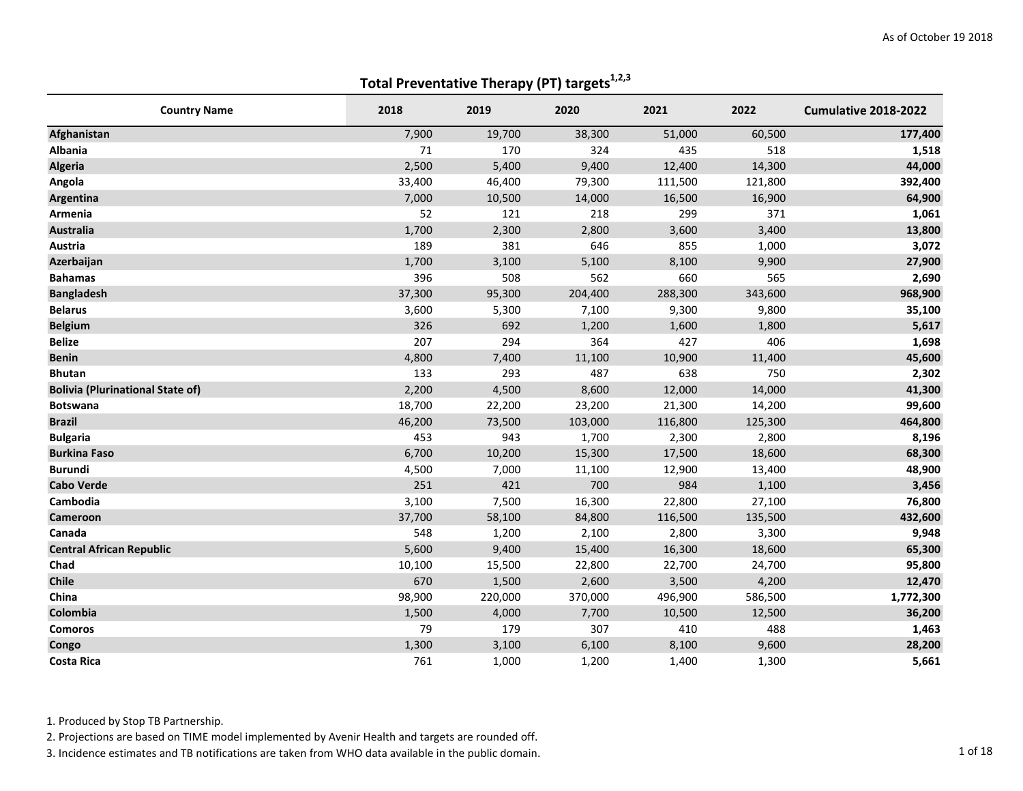| <b>Country Name</b>                     | 2018   | 2019    | 2020    | 2021    | 2022    | Cumulative 2018-2022 |
|-----------------------------------------|--------|---------|---------|---------|---------|----------------------|
| Afghanistan                             | 7,900  | 19,700  | 38,300  | 51,000  | 60,500  | 177,400              |
| <b>Albania</b>                          | 71     | 170     | 324     | 435     | 518     | 1,518                |
| <b>Algeria</b>                          | 2,500  | 5,400   | 9,400   | 12,400  | 14,300  | 44,000               |
| Angola                                  | 33,400 | 46,400  | 79,300  | 111,500 | 121,800 | 392,400              |
| Argentina                               | 7,000  | 10,500  | 14,000  | 16,500  | 16,900  | 64,900               |
| Armenia                                 | 52     | 121     | 218     | 299     | 371     | 1,061                |
| <b>Australia</b>                        | 1,700  | 2,300   | 2,800   | 3,600   | 3,400   | 13,800               |
| Austria                                 | 189    | 381     | 646     | 855     | 1,000   | 3,072                |
| Azerbaijan                              | 1,700  | 3,100   | 5,100   | 8,100   | 9,900   | 27,900               |
| <b>Bahamas</b>                          | 396    | 508     | 562     | 660     | 565     | 2,690                |
| <b>Bangladesh</b>                       | 37,300 | 95,300  | 204,400 | 288,300 | 343,600 | 968,900              |
| <b>Belarus</b>                          | 3,600  | 5,300   | 7,100   | 9,300   | 9,800   | 35,100               |
| <b>Belgium</b>                          | 326    | 692     | 1,200   | 1,600   | 1,800   | 5,617                |
| <b>Belize</b>                           | 207    | 294     | 364     | 427     | 406     | 1,698                |
| <b>Benin</b>                            | 4,800  | 7,400   | 11,100  | 10,900  | 11,400  | 45,600               |
| <b>Bhutan</b>                           | 133    | 293     | 487     | 638     | 750     | 2,302                |
| <b>Bolivia (Plurinational State of)</b> | 2,200  | 4,500   | 8,600   | 12,000  | 14,000  | 41,300               |
| <b>Botswana</b>                         | 18,700 | 22,200  | 23,200  | 21,300  | 14,200  | 99,600               |
| <b>Brazil</b>                           | 46,200 | 73,500  | 103,000 | 116,800 | 125,300 | 464,800              |
| <b>Bulgaria</b>                         | 453    | 943     | 1,700   | 2,300   | 2,800   | 8,196                |
| <b>Burkina Faso</b>                     | 6,700  | 10,200  | 15,300  | 17,500  | 18,600  | 68,300               |
| <b>Burundi</b>                          | 4,500  | 7,000   | 11,100  | 12,900  | 13,400  | 48,900               |
| <b>Cabo Verde</b>                       | 251    | 421     | 700     | 984     | 1,100   | 3,456                |
| Cambodia                                | 3,100  | 7,500   | 16,300  | 22,800  | 27,100  | 76,800               |
| Cameroon                                | 37,700 | 58,100  | 84,800  | 116,500 | 135,500 | 432,600              |
| Canada                                  | 548    | 1,200   | 2,100   | 2,800   | 3,300   | 9,948                |
| <b>Central African Republic</b>         | 5,600  | 9,400   | 15,400  | 16,300  | 18,600  | 65,300               |
| Chad                                    | 10,100 | 15,500  | 22,800  | 22,700  | 24,700  | 95,800               |
| <b>Chile</b>                            | 670    | 1,500   | 2,600   | 3,500   | 4,200   | 12,470               |
| China                                   | 98,900 | 220,000 | 370,000 | 496,900 | 586,500 | 1,772,300            |
| Colombia                                | 1,500  | 4,000   | 7,700   | 10,500  | 12,500  | 36,200               |
| <b>Comoros</b>                          | 79     | 179     | 307     | 410     | 488     | 1,463                |
| Congo                                   | 1,300  | 3,100   | 6,100   | 8,100   | 9,600   | 28,200               |
| <b>Costa Rica</b>                       | 761    | 1,000   | 1,200   | 1,400   | 1,300   | 5,661                |

1. Produced by Stop TB Partnership.

2. Projections are based on TIME model implemented by Avenir Health and targets are rounded off.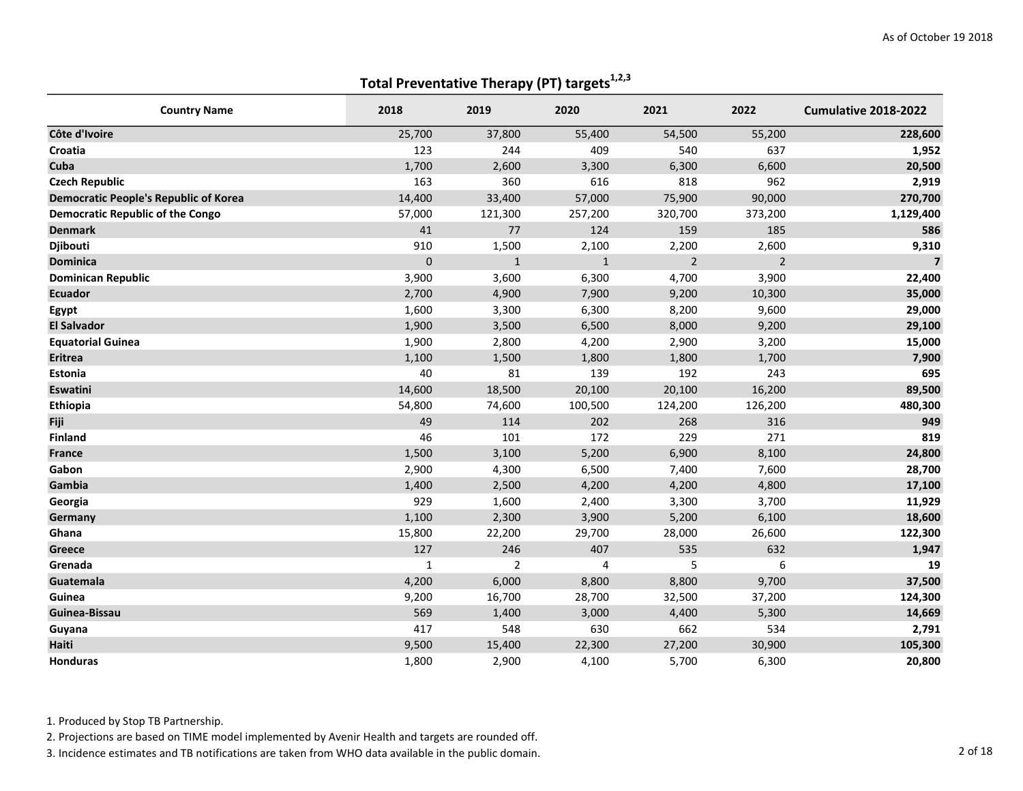| <b>Country Name</b>                          | 2018         | 2019           | 2020         | 2021           | 2022           | Cumulative 2018-2022    |
|----------------------------------------------|--------------|----------------|--------------|----------------|----------------|-------------------------|
| Côte d'Ivoire                                | 25,700       | 37,800         | 55,400       | 54,500         | 55,200         | 228,600                 |
| Croatia                                      | 123          | 244            | 409          | 540            | 637            | 1,952                   |
| Cuba                                         | 1,700        | 2,600          | 3,300        | 6,300          | 6,600          | 20,500                  |
| <b>Czech Republic</b>                        | 163          | 360            | 616          | 818            | 962            | 2,919                   |
| <b>Democratic People's Republic of Korea</b> | 14,400       | 33,400         | 57,000       | 75,900         | 90,000         | 270,700                 |
| <b>Democratic Republic of the Congo</b>      | 57,000       | 121,300        | 257,200      | 320,700        | 373,200        | 1,129,400               |
| <b>Denmark</b>                               | 41           | 77             | 124          | 159            | 185            | 586                     |
| Djibouti                                     | 910          | 1,500          | 2,100        | 2,200          | 2,600          | 9,310                   |
| <b>Dominica</b>                              | $\mathbf{0}$ | $\mathbf{1}$   | $\mathbf{1}$ | $\overline{2}$ | $\overline{2}$ | $\overline{\mathbf{z}}$ |
| <b>Dominican Republic</b>                    | 3,900        | 3,600          | 6,300        | 4,700          | 3,900          | 22,400                  |
| <b>Ecuador</b>                               | 2,700        | 4,900          | 7,900        | 9,200          | 10,300         | 35,000                  |
| Egypt                                        | 1,600        | 3,300          | 6,300        | 8,200          | 9,600          | 29,000                  |
| <b>El Salvador</b>                           | 1,900        | 3,500          | 6,500        | 8,000          | 9,200          | 29,100                  |
| <b>Equatorial Guinea</b>                     | 1,900        | 2,800          | 4,200        | 2,900          | 3,200          | 15,000                  |
| <b>Eritrea</b>                               | 1,100        | 1,500          | 1,800        | 1,800          | 1,700          | 7,900                   |
| Estonia                                      | 40           | 81             | 139          | 192            | 243            | 695                     |
| <b>Eswatini</b>                              | 14,600       | 18,500         | 20,100       | 20,100         | 16,200         | 89,500                  |
| Ethiopia                                     | 54,800       | 74,600         | 100,500      | 124,200        | 126,200        | 480,300                 |
| Fiji                                         | 49           | 114            | 202          | 268            | 316            | 949                     |
| <b>Finland</b>                               | 46           | 101            | 172          | 229            | 271            | 819                     |
| <b>France</b>                                | 1,500        | 3,100          | 5,200        | 6,900          | 8,100          | 24,800                  |
| Gabon                                        | 2,900        | 4,300          | 6,500        | 7,400          | 7,600          | 28,700                  |
| Gambia                                       | 1,400        | 2,500          | 4,200        | 4,200          | 4,800          | 17,100                  |
| Georgia                                      | 929          | 1,600          | 2,400        | 3,300          | 3,700          | 11,929                  |
| Germany                                      | 1,100        | 2,300          | 3,900        | 5,200          | 6,100          | 18,600                  |
| Ghana                                        | 15,800       | 22,200         | 29,700       | 28,000         | 26,600         | 122,300                 |
| Greece                                       | 127          | 246            | 407          | 535            | 632            | 1,947                   |
| Grenada                                      | $\mathbf{1}$ | $\overline{2}$ | 4            | 5              | 6              | 19                      |
| Guatemala                                    | 4,200        | 6,000          | 8,800        | 8,800          | 9,700          | 37,500                  |
| Guinea                                       | 9,200        | 16,700         | 28,700       | 32,500         | 37,200         | 124,300                 |
| Guinea-Bissau                                | 569          | 1,400          | 3,000        | 4,400          | 5,300          | 14,669                  |
| Guyana                                       | 417          | 548            | 630          | 662            | 534            | 2,791                   |
| Haiti                                        | 9,500        | 15,400         | 22,300       | 27,200         | 30,900         | 105,300                 |
| <b>Honduras</b>                              | 1,800        | 2,900          | 4,100        | 5,700          | 6,300          | 20,800                  |

1. Produced by Stop TB Partnership.

2. Projections are based on TIME model implemented by Avenir Health and targets are rounded off.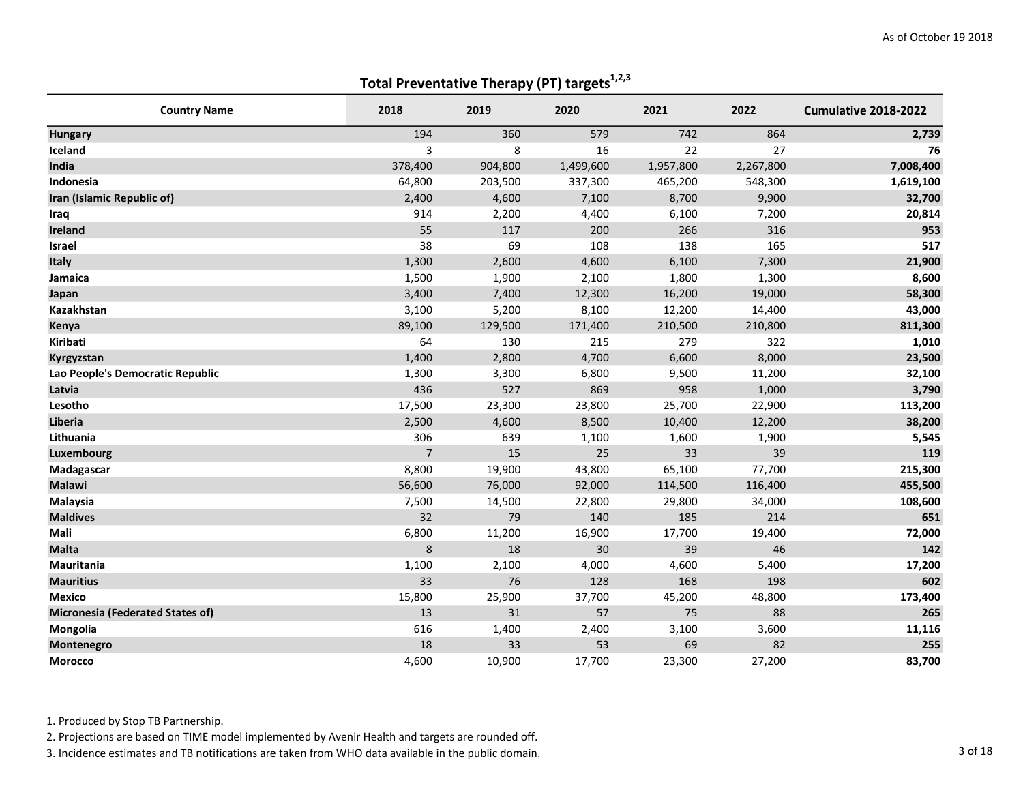| <b>Country Name</b>                     | 2018           | 2019    | 2020      | 2021      | 2022      | Cumulative 2018-2022 |
|-----------------------------------------|----------------|---------|-----------|-----------|-----------|----------------------|
| <b>Hungary</b>                          | 194            | 360     | 579       | 742       | 864       | 2,739                |
| Iceland                                 | 3              | 8       | 16        | 22        | 27        | 76                   |
| India                                   | 378,400        | 904,800 | 1,499,600 | 1,957,800 | 2,267,800 | 7,008,400            |
| Indonesia                               | 64,800         | 203,500 | 337,300   | 465,200   | 548,300   | 1,619,100            |
| Iran (Islamic Republic of)              | 2,400          | 4,600   | 7,100     | 8,700     | 9,900     | 32,700               |
| Iraq                                    | 914            | 2,200   | 4,400     | 6,100     | 7,200     | 20,814               |
| Ireland                                 | 55             | 117     | 200       | 266       | 316       | 953                  |
| <b>Israel</b>                           | 38             | 69      | 108       | 138       | 165       | 517                  |
| Italy                                   | 1,300          | 2,600   | 4,600     | 6,100     | 7,300     | 21,900               |
| Jamaica                                 | 1,500          | 1,900   | 2,100     | 1,800     | 1,300     | 8,600                |
| Japan                                   | 3,400          | 7,400   | 12,300    | 16,200    | 19,000    | 58,300               |
| Kazakhstan                              | 3,100          | 5,200   | 8,100     | 12,200    | 14,400    | 43,000               |
| Kenya                                   | 89,100         | 129,500 | 171,400   | 210,500   | 210,800   | 811,300              |
| <b>Kiribati</b>                         | 64             | 130     | 215       | 279       | 322       | 1,010                |
| Kyrgyzstan                              | 1,400          | 2,800   | 4,700     | 6,600     | 8,000     | 23,500               |
| Lao People's Democratic Republic        | 1,300          | 3,300   | 6,800     | 9,500     | 11,200    | 32,100               |
| Latvia                                  | 436            | 527     | 869       | 958       | 1,000     | 3,790                |
| Lesotho                                 | 17,500         | 23,300  | 23,800    | 25,700    | 22,900    | 113,200              |
| Liberia                                 | 2,500          | 4,600   | 8,500     | 10,400    | 12,200    | 38,200               |
| Lithuania                               | 306            | 639     | 1,100     | 1,600     | 1,900     | 5,545                |
| Luxembourg                              | $\overline{7}$ | 15      | 25        | 33        | 39        | 119                  |
| Madagascar                              | 8,800          | 19,900  | 43,800    | 65,100    | 77,700    | 215,300              |
| <b>Malawi</b>                           | 56,600         | 76,000  | 92,000    | 114,500   | 116,400   | 455,500              |
| Malaysia                                | 7,500          | 14,500  | 22,800    | 29,800    | 34,000    | 108,600              |
| <b>Maldives</b>                         | 32             | 79      | 140       | 185       | 214       | 651                  |
| Mali                                    | 6,800          | 11,200  | 16,900    | 17,700    | 19,400    | 72,000               |
| <b>Malta</b>                            | 8              | 18      | 30        | 39        | 46        | 142                  |
| Mauritania                              | 1,100          | 2,100   | 4,000     | 4,600     | 5,400     | 17,200               |
| <b>Mauritius</b>                        | 33             | 76      | 128       | 168       | 198       | 602                  |
| <b>Mexico</b>                           | 15,800         | 25,900  | 37,700    | 45,200    | 48,800    | 173,400              |
| <b>Micronesia (Federated States of)</b> | 13             | 31      | 57        | 75        | 88        | 265                  |
| Mongolia                                | 616            | 1,400   | 2,400     | 3,100     | 3,600     | 11,116               |
| Montenegro                              | 18             | 33      | 53        | 69        | 82        | 255                  |
| Morocco                                 | 4,600          | 10,900  | 17,700    | 23,300    | 27,200    | 83,700               |

1. Produced by Stop TB Partnership.

2. Projections are based on TIME model implemented by Avenir Health and targets are rounded off.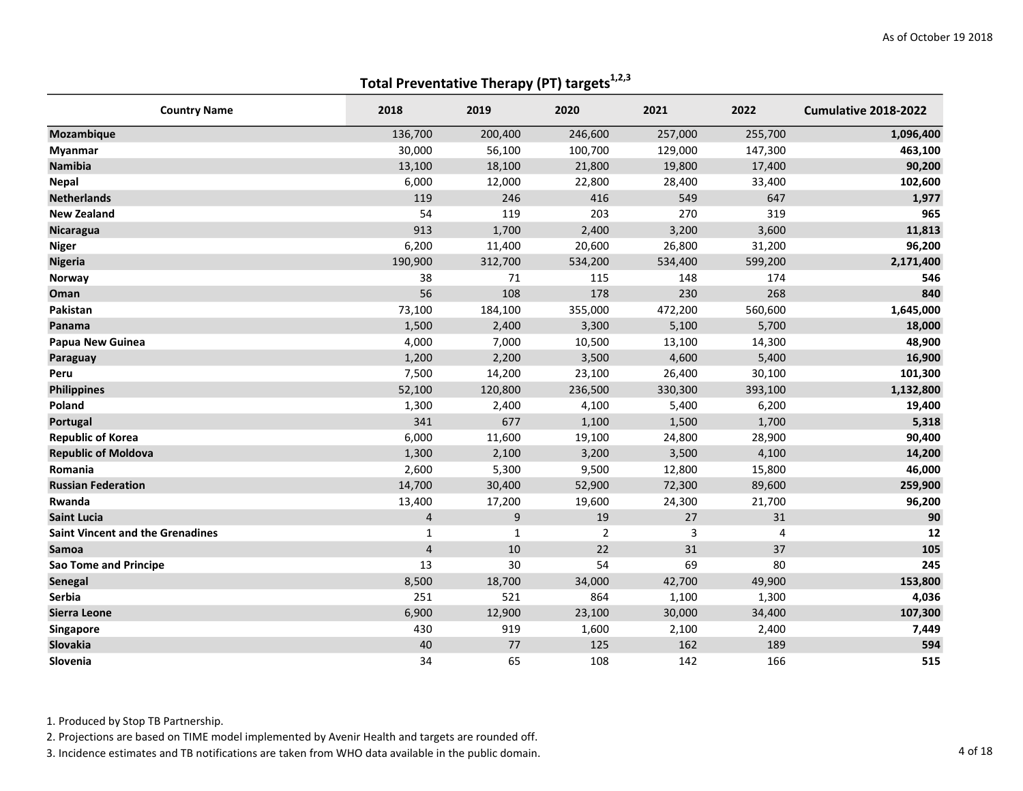| <b>Country Name</b>                     | 2018           | 2019    | 2020           | 2021    | 2022    | Cumulative 2018-2022 |
|-----------------------------------------|----------------|---------|----------------|---------|---------|----------------------|
| <b>Mozambique</b>                       | 136,700        | 200,400 | 246,600        | 257,000 | 255,700 | 1,096,400            |
| Myanmar                                 | 30,000         | 56,100  | 100,700        | 129,000 | 147,300 | 463,100              |
| <b>Namibia</b>                          | 13,100         | 18,100  | 21,800         | 19,800  | 17,400  | 90,200               |
| <b>Nepal</b>                            | 6,000          | 12,000  | 22,800         | 28,400  | 33,400  | 102,600              |
| <b>Netherlands</b>                      | 119            | 246     | 416            | 549     | 647     | 1,977                |
| <b>New Zealand</b>                      | 54             | 119     | 203            | 270     | 319     | 965                  |
| <b>Nicaragua</b>                        | 913            | 1,700   | 2,400          | 3,200   | 3,600   | 11,813               |
| <b>Niger</b>                            | 6,200          | 11,400  | 20,600         | 26,800  | 31,200  | 96,200               |
| <b>Nigeria</b>                          | 190,900        | 312,700 | 534,200        | 534,400 | 599,200 | 2,171,400            |
| Norway                                  | 38             | 71      | 115            | 148     | 174     | 546                  |
| Oman                                    | 56             | 108     | 178            | 230     | 268     | 840                  |
| Pakistan                                | 73,100         | 184,100 | 355,000        | 472,200 | 560,600 | 1,645,000            |
| Panama                                  | 1,500          | 2,400   | 3,300          | 5,100   | 5,700   | 18,000               |
| Papua New Guinea                        | 4,000          | 7,000   | 10,500         | 13,100  | 14,300  | 48,900               |
| Paraguay                                | 1,200          | 2,200   | 3,500          | 4,600   | 5,400   | 16,900               |
| Peru                                    | 7,500          | 14,200  | 23,100         | 26,400  | 30,100  | 101,300              |
| <b>Philippines</b>                      | 52,100         | 120,800 | 236,500        | 330,300 | 393,100 | 1,132,800            |
| Poland                                  | 1,300          | 2,400   | 4,100          | 5,400   | 6,200   | 19,400               |
| Portugal                                | 341            | 677     | 1,100          | 1,500   | 1,700   | 5,318                |
| <b>Republic of Korea</b>                | 6,000          | 11,600  | 19,100         | 24,800  | 28,900  | 90,400               |
| <b>Republic of Moldova</b>              | 1,300          | 2,100   | 3,200          | 3,500   | 4,100   | 14,200               |
| Romania                                 | 2,600          | 5,300   | 9,500          | 12,800  | 15,800  | 46,000               |
| <b>Russian Federation</b>               | 14,700         | 30,400  | 52,900         | 72,300  | 89,600  | 259,900              |
| Rwanda                                  | 13,400         | 17,200  | 19,600         | 24,300  | 21,700  | 96,200               |
| <b>Saint Lucia</b>                      | $\overline{4}$ | 9       | 19             | 27      | 31      | 90                   |
| <b>Saint Vincent and the Grenadines</b> | $\mathbf{1}$   | 1       | $\overline{2}$ | 3       | 4       | 12                   |
| Samoa                                   | $\overline{4}$ | 10      | 22             | 31      | 37      | 105                  |
| Sao Tome and Principe                   | 13             | 30      | 54             | 69      | 80      | 245                  |
| Senegal                                 | 8,500          | 18,700  | 34,000         | 42,700  | 49,900  | 153,800              |
| Serbia                                  | 251            | 521     | 864            | 1,100   | 1,300   | 4,036                |
| Sierra Leone                            | 6,900          | 12,900  | 23,100         | 30,000  | 34,400  | 107,300              |
| Singapore                               | 430            | 919     | 1,600          | 2,100   | 2,400   | 7,449                |
| Slovakia                                | 40             | 77      | 125            | 162     | 189     | 594                  |
| Slovenia                                | 34             | 65      | 108            | 142     | 166     | 515                  |

1. Produced by Stop TB Partnership.

2. Projections are based on TIME model implemented by Avenir Health and targets are rounded off.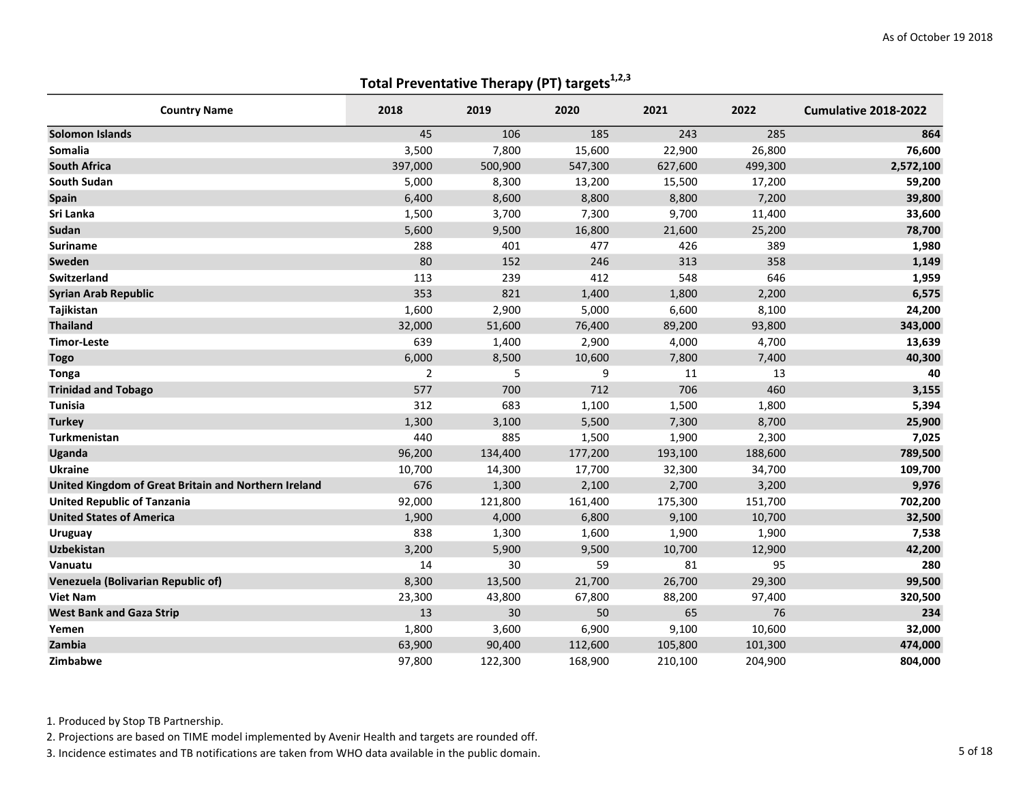| <b>Country Name</b>                                  | 2018           | 2019    | 2020    | 2021    | 2022    | Cumulative 2018-2022 |
|------------------------------------------------------|----------------|---------|---------|---------|---------|----------------------|
| <b>Solomon Islands</b>                               | 45             | 106     | 185     | 243     | 285     | 864                  |
| Somalia                                              | 3,500          | 7,800   | 15,600  | 22,900  | 26,800  | 76,600               |
| <b>South Africa</b>                                  | 397,000        | 500,900 | 547,300 | 627,600 | 499,300 | 2,572,100            |
| South Sudan                                          | 5,000          | 8,300   | 13,200  | 15,500  | 17,200  | 59,200               |
| <b>Spain</b>                                         | 6,400          | 8,600   | 8,800   | 8,800   | 7,200   | 39,800               |
| Sri Lanka                                            | 1,500          | 3,700   | 7,300   | 9,700   | 11,400  | 33,600               |
| Sudan                                                | 5,600          | 9,500   | 16,800  | 21,600  | 25,200  | 78,700               |
| <b>Suriname</b>                                      | 288            | 401     | 477     | 426     | 389     | 1,980                |
| Sweden                                               | 80             | 152     | 246     | 313     | 358     | 1,149                |
| <b>Switzerland</b>                                   | 113            | 239     | 412     | 548     | 646     | 1,959                |
| <b>Syrian Arab Republic</b>                          | 353            | 821     | 1,400   | 1,800   | 2,200   | 6,575                |
| Tajikistan                                           | 1,600          | 2,900   | 5,000   | 6,600   | 8,100   | 24,200               |
| <b>Thailand</b>                                      | 32,000         | 51,600  | 76,400  | 89,200  | 93,800  | 343,000              |
| <b>Timor-Leste</b>                                   | 639            | 1,400   | 2,900   | 4,000   | 4,700   | 13,639               |
| <b>Togo</b>                                          | 6,000          | 8,500   | 10,600  | 7,800   | 7,400   | 40,300               |
| <b>Tonga</b>                                         | $\overline{2}$ | 5       | 9       | 11      | 13      | 40                   |
| <b>Trinidad and Tobago</b>                           | 577            | 700     | 712     | 706     | 460     | 3,155                |
| <b>Tunisia</b>                                       | 312            | 683     | 1,100   | 1,500   | 1,800   | 5,394                |
| <b>Turkey</b>                                        | 1,300          | 3,100   | 5,500   | 7,300   | 8,700   | 25,900               |
| Turkmenistan                                         | 440            | 885     | 1,500   | 1,900   | 2,300   | 7,025                |
| <b>Uganda</b>                                        | 96,200         | 134,400 | 177,200 | 193,100 | 188,600 | 789,500              |
| <b>Ukraine</b>                                       | 10,700         | 14,300  | 17,700  | 32,300  | 34,700  | 109,700              |
| United Kingdom of Great Britain and Northern Ireland | 676            | 1,300   | 2,100   | 2,700   | 3,200   | 9,976                |
| <b>United Republic of Tanzania</b>                   | 92,000         | 121,800 | 161,400 | 175,300 | 151,700 | 702,200              |
| <b>United States of America</b>                      | 1,900          | 4,000   | 6,800   | 9,100   | 10,700  | 32,500               |
| <b>Uruguay</b>                                       | 838            | 1,300   | 1,600   | 1,900   | 1,900   | 7,538                |
| <b>Uzbekistan</b>                                    | 3,200          | 5,900   | 9,500   | 10,700  | 12,900  | 42,200               |
| Vanuatu                                              | 14             | 30      | 59      | 81      | 95      | 280                  |
| Venezuela (Bolivarian Republic of)                   | 8,300          | 13,500  | 21,700  | 26,700  | 29,300  | 99,500               |
| <b>Viet Nam</b>                                      | 23,300         | 43,800  | 67,800  | 88,200  | 97,400  | 320,500              |
| <b>West Bank and Gaza Strip</b>                      | 13             | 30      | 50      | 65      | 76      | 234                  |
| Yemen                                                | 1,800          | 3,600   | 6,900   | 9,100   | 10,600  | 32,000               |
| Zambia                                               | 63,900         | 90,400  | 112,600 | 105,800 | 101,300 | 474,000              |
| Zimbabwe                                             | 97,800         | 122,300 | 168,900 | 210,100 | 204,900 | 804,000              |

1. Produced by Stop TB Partnership.

2. Projections are based on TIME model implemented by Avenir Health and targets are rounded off.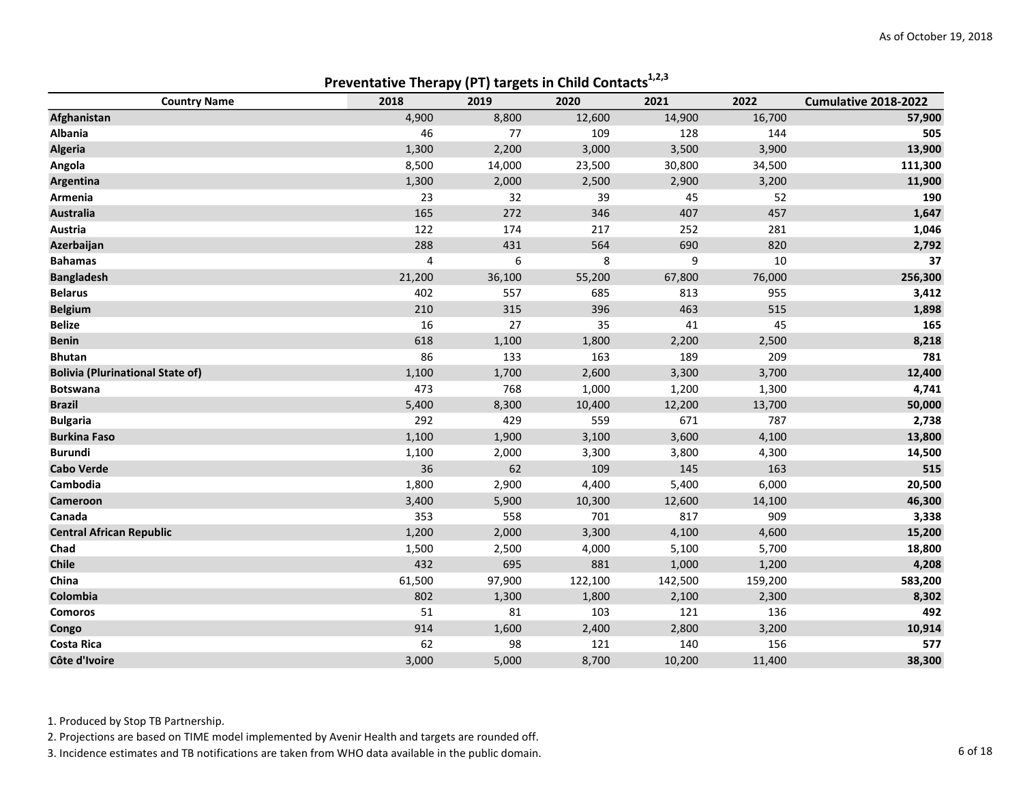|                                         | Preventative Therapy (PT) targets in Child Contacts |        |         |         |         |                      |  |  |  |  |
|-----------------------------------------|-----------------------------------------------------|--------|---------|---------|---------|----------------------|--|--|--|--|
| <b>Country Name</b>                     | 2018                                                | 2019   | 2020    | 2021    | 2022    | Cumulative 2018-2022 |  |  |  |  |
| Afghanistan                             | 4,900                                               | 8,800  | 12,600  | 14,900  | 16,700  | 57,900               |  |  |  |  |
| Albania                                 | 46                                                  | 77     | 109     | 128     | 144     | 505                  |  |  |  |  |
| <b>Algeria</b>                          | 1,300                                               | 2,200  | 3,000   | 3,500   | 3,900   | 13,900               |  |  |  |  |
| Angola                                  | 8,500                                               | 14,000 | 23,500  | 30,800  | 34,500  | 111,300              |  |  |  |  |
| Argentina                               | 1,300                                               | 2,000  | 2,500   | 2,900   | 3,200   | 11,900               |  |  |  |  |
| Armenia                                 | 23                                                  | 32     | 39      | 45      | 52      | 190                  |  |  |  |  |
| <b>Australia</b>                        | 165                                                 | 272    | 346     | 407     | 457     | 1,647                |  |  |  |  |
| Austria                                 | 122                                                 | 174    | 217     | 252     | 281     | 1,046                |  |  |  |  |
| Azerbaijan                              | 288                                                 | 431    | 564     | 690     | 820     | 2,792                |  |  |  |  |
| <b>Bahamas</b>                          | $\pmb{4}$                                           | 6      | 8       | 9       | 10      | 37                   |  |  |  |  |
| <b>Bangladesh</b>                       | 21,200                                              | 36,100 | 55,200  | 67,800  | 76,000  | 256,300              |  |  |  |  |
| <b>Belarus</b>                          | 402                                                 | 557    | 685     | 813     | 955     | 3,412                |  |  |  |  |
| <b>Belgium</b>                          | 210                                                 | 315    | 396     | 463     | 515     | 1,898                |  |  |  |  |
| <b>Belize</b>                           | 16                                                  | 27     | 35      | 41      | 45      | 165                  |  |  |  |  |
| <b>Benin</b>                            | 618                                                 | 1,100  | 1,800   | 2,200   | 2,500   | 8,218                |  |  |  |  |
| <b>Bhutan</b>                           | 86                                                  | 133    | 163     | 189     | 209     | 781                  |  |  |  |  |
| <b>Bolivia (Plurinational State of)</b> | 1,100                                               | 1,700  | 2,600   | 3,300   | 3,700   | 12,400               |  |  |  |  |
| <b>Botswana</b>                         | 473                                                 | 768    | 1,000   | 1,200   | 1,300   | 4,741                |  |  |  |  |
| <b>Brazil</b>                           | 5,400                                               | 8,300  | 10,400  | 12,200  | 13,700  | 50,000               |  |  |  |  |
| <b>Bulgaria</b>                         | 292                                                 | 429    | 559     | 671     | 787     | 2,738                |  |  |  |  |
| <b>Burkina Faso</b>                     | 1,100                                               | 1,900  | 3,100   | 3,600   | 4,100   | 13,800               |  |  |  |  |
| <b>Burundi</b>                          | 1,100                                               | 2,000  | 3,300   | 3,800   | 4,300   | 14,500               |  |  |  |  |
| <b>Cabo Verde</b>                       | 36                                                  | 62     | 109     | 145     | 163     | 515                  |  |  |  |  |
| Cambodia                                | 1,800                                               | 2,900  | 4,400   | 5,400   | 6,000   | 20,500               |  |  |  |  |
| Cameroon                                | 3,400                                               | 5,900  | 10,300  | 12,600  | 14,100  | 46,300               |  |  |  |  |
| Canada                                  | 353                                                 | 558    | 701     | 817     | 909     | 3,338                |  |  |  |  |
| <b>Central African Republic</b>         | 1,200                                               | 2,000  | 3,300   | 4,100   | 4,600   | 15,200               |  |  |  |  |
| Chad                                    | 1,500                                               | 2,500  | 4,000   | 5,100   | 5,700   | 18,800               |  |  |  |  |
| Chile                                   | 432                                                 | 695    | 881     | 1,000   | 1,200   | 4,208                |  |  |  |  |
| China                                   | 61,500                                              | 97,900 | 122,100 | 142,500 | 159,200 | 583,200              |  |  |  |  |
| Colombia                                | 802                                                 | 1,300  | 1,800   | 2,100   | 2,300   | 8,302                |  |  |  |  |
| <b>Comoros</b>                          | 51                                                  | 81     | 103     | 121     | 136     | 492                  |  |  |  |  |
| Congo                                   | 914                                                 | 1,600  | 2,400   | 2,800   | 3,200   | 10,914               |  |  |  |  |
| <b>Costa Rica</b>                       | 62                                                  | 98     | 121     | 140     | 156     | 577                  |  |  |  |  |
| Côte d'Ivoire                           | 3,000                                               | 5,000  | 8,700   | 10,200  | 11,400  | 38,300               |  |  |  |  |

Preventative Therany (PT) targets in Child Contacts<sup>1,2,3</sup>

1. Produced by Stop TB Partnership.

2. Projections are based on TIME model implemented by Avenir Health and targets are rounded off.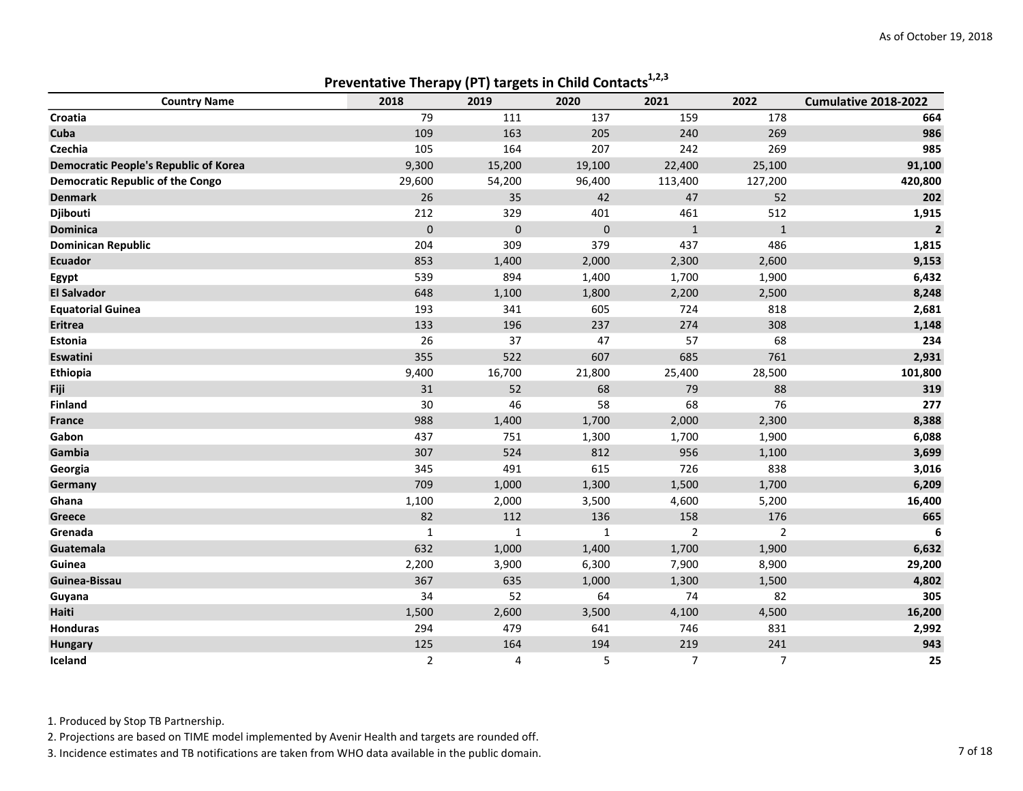|                                              |                | r 1 v<br>.,  |             |              |                |                         |
|----------------------------------------------|----------------|--------------|-------------|--------------|----------------|-------------------------|
| <b>Country Name</b>                          | 2018           | 2019         | 2020        | 2021         | 2022           | Cumulative 2018-2022    |
| Croatia                                      | 79             | 111          | 137         | 159          | 178            | 664                     |
| Cuba                                         | 109            | 163          | 205         | 240          | 269            | 986                     |
| <b>Czechia</b>                               | 105            | 164          | 207         | 242          | 269            | 985                     |
| <b>Democratic People's Republic of Korea</b> | 9,300          | 15,200       | 19,100      | 22,400       | 25,100         | 91,100                  |
| Democratic Republic of the Congo             | 29,600         | 54,200       | 96,400      | 113,400      | 127,200        | 420,800                 |
| <b>Denmark</b>                               | 26             | 35           | 42          | 47           | 52             | 202                     |
| <b>Djibouti</b>                              | 212            | 329          | 401         | 461          | 512            | 1,915                   |
| <b>Dominica</b>                              | $\mathbf 0$    | $\mathbf 0$  | $\mathbf 0$ | $\mathbf{1}$ | $\mathbf{1}$   | $\overline{\mathbf{2}}$ |
| <b>Dominican Republic</b>                    | 204            | 309          | 379         | 437          | 486            | 1,815                   |
| <b>Ecuador</b>                               | 853            | 1,400        | 2,000       | 2,300        | 2,600          | 9,153                   |
| Egypt                                        | 539            | 894          | 1,400       | 1,700        | 1,900          | 6,432                   |
| <b>El Salvador</b>                           | 648            | 1,100        | 1,800       | 2,200        | 2,500          | 8,248                   |
| <b>Equatorial Guinea</b>                     | 193            | 341          | 605         | 724          | 818            | 2,681                   |
| Eritrea                                      | 133            | 196          | 237         | 274          | 308            | 1,148                   |
| Estonia                                      | 26             | 37           | 47          | 57           | 68             | 234                     |
| Eswatini                                     | 355            | 522          | 607         | 685          | 761            | 2,931                   |
| <b>Ethiopia</b>                              | 9,400          | 16,700       | 21,800      | 25,400       | 28,500         | 101,800                 |
| Fiji                                         | 31             | 52           | 68          | 79           | 88             | 319                     |
| Finland                                      | 30             | 46           | 58          | 68           | 76             | 277                     |
| France                                       | 988            | 1,400        | 1,700       | 2,000        | 2,300          | 8,388                   |
| Gabon                                        | 437            | 751          | 1,300       | 1,700        | 1,900          | 6,088                   |
| Gambia                                       | 307            | 524          | 812         | 956          | 1,100          | 3,699                   |
| Georgia                                      | 345            | 491          | 615         | 726          | 838            | 3,016                   |
| Germany                                      | 709            | 1,000        | 1,300       | 1,500        | 1,700          | 6,209                   |
| Ghana                                        | 1,100          | 2,000        | 3,500       | 4,600        | 5,200          | 16,400                  |
| Greece                                       | 82             | 112          | 136         | 158          | 176            | 665                     |
| Grenada                                      | $\mathbf{1}$   | $\mathbf{1}$ | 1           | 2            | $\overline{2}$ | 6                       |
| Guatemala                                    | 632            | 1,000        | 1,400       | 1,700        | 1,900          | 6,632                   |
| Guinea                                       | 2,200          | 3,900        | 6,300       | 7,900        | 8,900          | 29,200                  |
| Guinea-Bissau                                | 367            | 635          | 1,000       | 1,300        | 1,500          | 4,802                   |
| Guyana                                       | 34             | 52           | 64          | 74           | 82             | 305                     |
| Haiti                                        | 1,500          | 2,600        | 3,500       | 4,100        | 4,500          | 16,200                  |
| Honduras                                     | 294            | 479          | 641         | 746          | 831            | 2,992                   |
| <b>Hungary</b>                               | 125            | 164          | 194         | 219          | 241            | 943                     |
| Iceland                                      | $\overline{2}$ | 4            | 5           | 7            | 7              | 25                      |
|                                              |                |              |             |              |                |                         |

Preventative Therapy (PT) targets in Child Contacts $1,2,3$ 

1. Produced by Stop TB Partnership.

2. Projections are based on TIME model implemented by Avenir Health and targets are rounded off.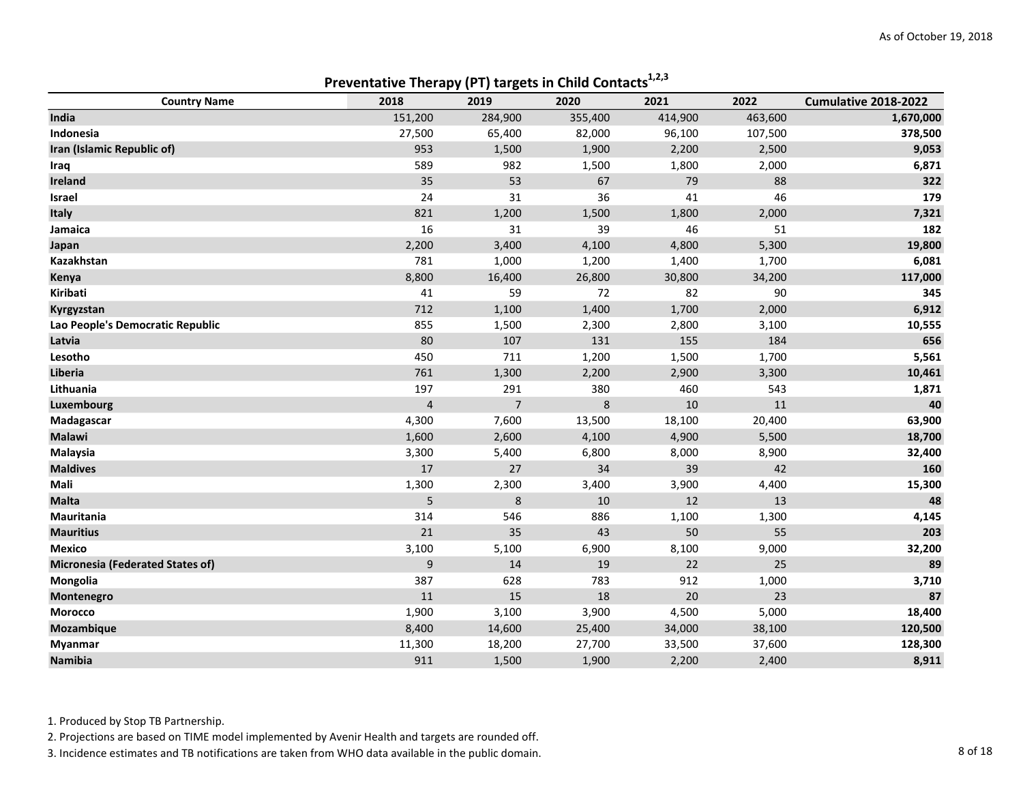| <b>Preventative Therapy (PT) targets in Child Contacts</b> <sup>1,2,3</sup> |                |                |         |         |         |                      |  |  |
|-----------------------------------------------------------------------------|----------------|----------------|---------|---------|---------|----------------------|--|--|
| <b>Country Name</b>                                                         | 2018           | 2019           | 2020    | 2021    | 2022    | Cumulative 2018-2022 |  |  |
| India                                                                       | 151,200        | 284,900        | 355,400 | 414,900 | 463,600 | 1,670,000            |  |  |
| Indonesia                                                                   | 27,500         | 65,400         | 82,000  | 96,100  | 107,500 | 378,500              |  |  |
| Iran (Islamic Republic of)                                                  | 953            | 1,500          | 1,900   | 2,200   | 2,500   | 9,053                |  |  |
| Iraq                                                                        | 589            | 982            | 1,500   | 1,800   | 2,000   | 6,871                |  |  |
| Ireland                                                                     | 35             | 53             | 67      | 79      | 88      | 322                  |  |  |
| Israel                                                                      | 24             | 31             | 36      | 41      | 46      | 179                  |  |  |
| Italy                                                                       | 821            | 1,200          | 1,500   | 1,800   | 2,000   | 7,321                |  |  |
| Jamaica                                                                     | 16             | 31             | 39      | 46      | 51      | 182                  |  |  |
| Japan                                                                       | 2,200          | 3,400          | 4,100   | 4,800   | 5,300   | 19,800               |  |  |
| Kazakhstan                                                                  | 781            | 1,000          | 1,200   | 1,400   | 1,700   | 6,081                |  |  |
| Kenya                                                                       | 8,800          | 16,400         | 26,800  | 30,800  | 34,200  | 117,000              |  |  |
| Kiribati                                                                    | 41             | 59             | 72      | 82      | 90      | 345                  |  |  |
| Kyrgyzstan                                                                  | 712            | 1,100          | 1,400   | 1,700   | 2,000   | 6,912                |  |  |
| Lao People's Democratic Republic                                            | 855            | 1,500          | 2,300   | 2,800   | 3,100   | 10,555               |  |  |
| Latvia                                                                      | 80             | 107            | 131     | 155     | 184     | 656                  |  |  |
| Lesotho                                                                     | 450            | 711            | 1,200   | 1,500   | 1,700   | 5,561                |  |  |
| Liberia                                                                     | 761            | 1,300          | 2,200   | 2,900   | 3,300   | 10,461               |  |  |
| Lithuania                                                                   | 197            | 291            | 380     | 460     | 543     | 1,871                |  |  |
| Luxembourg                                                                  | $\overline{4}$ | $\overline{7}$ | 8       | 10      | 11      | 40                   |  |  |
| Madagascar                                                                  | 4,300          | 7,600          | 13,500  | 18,100  | 20,400  | 63,900               |  |  |
| <b>Malawi</b>                                                               | 1,600          | 2,600          | 4,100   | 4,900   | 5,500   | 18,700               |  |  |
| Malaysia                                                                    | 3,300          | 5,400          | 6,800   | 8,000   | 8,900   | 32,400               |  |  |
| <b>Maldives</b>                                                             | 17             | 27             | 34      | 39      | 42      | 160                  |  |  |
| Mali                                                                        | 1,300          | 2,300          | 3,400   | 3,900   | 4,400   | 15,300               |  |  |
| <b>Malta</b>                                                                | 5              | $\bf 8$        | $10\,$  | 12      | 13      | 48                   |  |  |
| Mauritania                                                                  | 314            | 546            | 886     | 1,100   | 1,300   | 4,145                |  |  |
| <b>Mauritius</b>                                                            | 21             | 35             | 43      | 50      | 55      | 203                  |  |  |
| <b>Mexico</b>                                                               | 3,100          | 5,100          | 6,900   | 8,100   | 9,000   | 32,200               |  |  |
| Micronesia (Federated States of)                                            | $\mathsf 9$    | 14             | 19      | 22      | 25      | 89                   |  |  |
| Mongolia                                                                    | 387            | 628            | 783     | 912     | 1,000   | 3,710                |  |  |
| Montenegro                                                                  | 11             | 15             | 18      | 20      | 23      | 87                   |  |  |
| Morocco                                                                     | 1,900          | 3,100          | 3,900   | 4,500   | 5,000   | 18,400               |  |  |
| Mozambique                                                                  | 8,400          | 14,600         | 25,400  | 34,000  | 38,100  | 120,500              |  |  |
| <b>Myanmar</b>                                                              | 11,300         | 18,200         | 27,700  | 33,500  | 37,600  | 128,300              |  |  |
| Namibia                                                                     | 911            | 1,500          | 1,900   | 2,200   | 2,400   | 8,911                |  |  |

2. Projections are based on TIME model implemented by Avenir Health and targets are rounded off.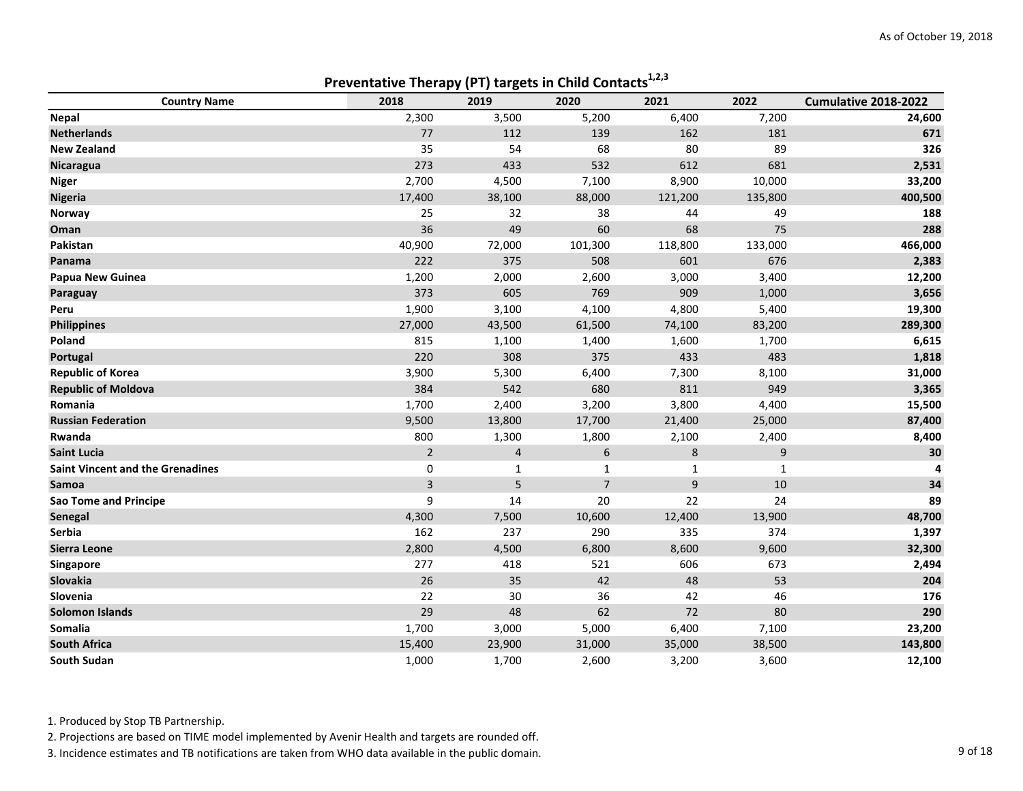|                                         | Proventative Therapy (PT) targets in erma contacts |              |                |         |              |                      |
|-----------------------------------------|----------------------------------------------------|--------------|----------------|---------|--------------|----------------------|
| <b>Country Name</b>                     | 2018                                               | 2019         | 2020           | 2021    | 2022         | Cumulative 2018-2022 |
| Nepal                                   | 2,300                                              | 3,500        | 5,200          | 6,400   | 7,200        | 24,600               |
| <b>Netherlands</b>                      | 77                                                 | 112          | 139            | 162     | 181          | 671                  |
| <b>New Zealand</b>                      | 35                                                 | 54           | 68             | 80      | 89           | 326                  |
| Nicaragua                               | 273                                                | 433          | 532            | 612     | 681          | 2,531                |
| <b>Niger</b>                            | 2,700                                              | 4,500        | 7,100          | 8,900   | 10,000       | 33,200               |
| <b>Nigeria</b>                          | 17,400                                             | 38,100       | 88,000         | 121,200 | 135,800      | 400,500              |
| Norway                                  | 25                                                 | 32           | 38             | 44      | 49           | 188                  |
| Oman                                    | 36                                                 | 49           | 60             | 68      | 75           | 288                  |
| Pakistan                                | 40,900                                             | 72,000       | 101,300        | 118,800 | 133,000      | 466,000              |
| Panama                                  | 222                                                | 375          | 508            | 601     | 676          | 2,383                |
| Papua New Guinea                        | 1,200                                              | 2,000        | 2,600          | 3,000   | 3,400        | 12,200               |
| Paraguay                                | 373                                                | 605          | 769            | 909     | 1,000        | 3,656                |
| Peru                                    | 1,900                                              | 3,100        | 4,100          | 4,800   | 5,400        | 19,300               |
| <b>Philippines</b>                      | 27,000                                             | 43,500       | 61,500         | 74,100  | 83,200       | 289,300              |
| Poland                                  | 815                                                | 1,100        | 1,400          | 1,600   | 1,700        | 6,615                |
| Portugal                                | 220                                                | 308          | 375            | 433     | 483          | 1,818                |
| <b>Republic of Korea</b>                | 3,900                                              | 5,300        | 6,400          | 7,300   | 8,100        | 31,000               |
| <b>Republic of Moldova</b>              | 384                                                | 542          | 680            | 811     | 949          | 3,365                |
| Romania                                 | 1,700                                              | 2,400        | 3,200          | 3,800   | 4,400        | 15,500               |
| <b>Russian Federation</b>               | 9,500                                              | 13,800       | 17,700         | 21,400  | 25,000       | 87,400               |
| Rwanda                                  | 800                                                | 1,300        | 1,800          | 2,100   | 2,400        | 8,400                |
| <b>Saint Lucia</b>                      | $\overline{2}$                                     | 4            | 6              | 8       | 9            | 30                   |
| <b>Saint Vincent and the Grenadines</b> | 0                                                  | $\mathbf{1}$ | 1              | 1       | $\mathbf{1}$ |                      |
| Samoa                                   | 3                                                  | 5            | $\overline{7}$ | 9       | 10           | 34                   |
| <b>Sao Tome and Principe</b>            | 9                                                  | 14           | 20             | 22      | 24           | 89                   |
| Senegal                                 | 4,300                                              | 7,500        | 10,600         | 12,400  | 13,900       | 48,700               |
| Serbia                                  | 162                                                | 237          | 290            | 335     | 374          | 1,397                |
| Sierra Leone                            | 2,800                                              | 4,500        | 6,800          | 8,600   | 9,600        | 32,300               |
| Singapore                               | 277                                                | 418          | 521            | 606     | 673          | 2,494                |
| Slovakia                                | 26                                                 | 35           | 42             | 48      | 53           | 204                  |
| Slovenia                                | 22                                                 | 30           | 36             | 42      | 46           | 176                  |
| <b>Solomon Islands</b>                  | 29                                                 | 48           | 62             | 72      | 80           | 290                  |
| Somalia                                 | 1,700                                              | 3,000        | 5,000          | 6,400   | 7,100        | 23,200               |
| <b>South Africa</b>                     | 15,400                                             | 23,900       | 31,000         | 35,000  | 38,500       | 143,800              |
| South Sudan                             | 1,000                                              | 1,700        | 2,600          | 3,200   | 3,600        | 12,100               |

Preventative Therapy (PT) targets in Child Contacts<sup>1,2,3</sup>

1. Produced by Stop TB Partnership.

2. Projections are based on TIME model implemented by Avenir Health and targets are rounded off.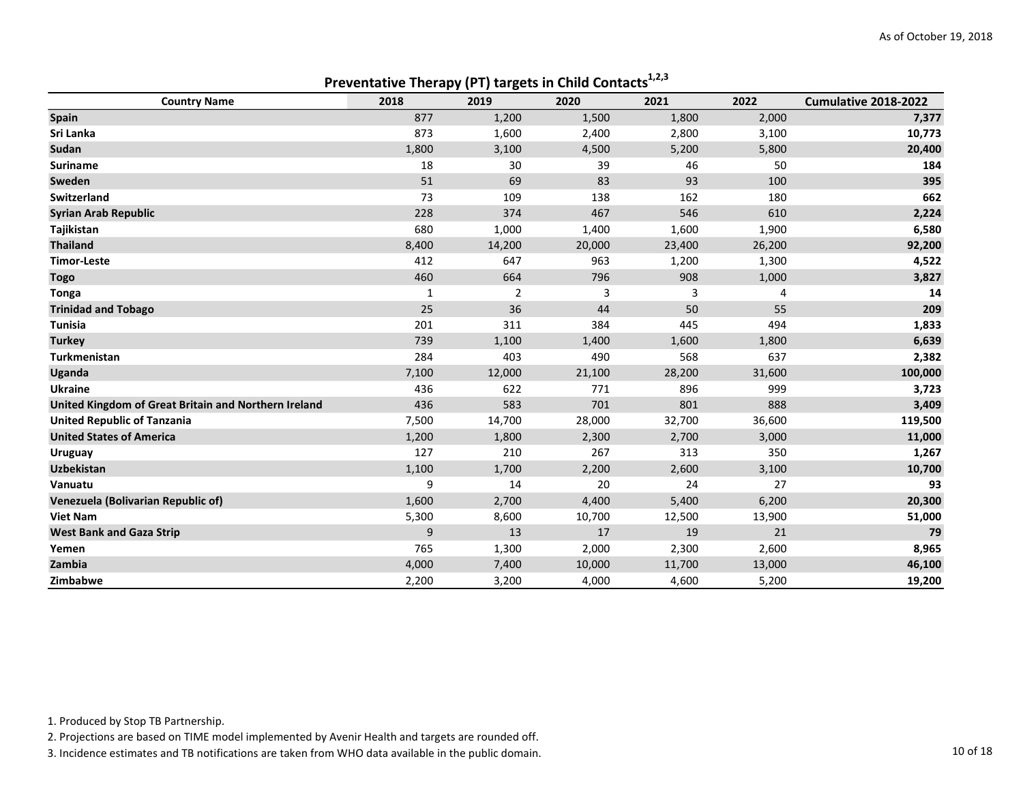| Preventative Therapy (PT) targets in Child Contacts <sup>1,2,3</sup> |       |                |        |        |        |                      |  |
|----------------------------------------------------------------------|-------|----------------|--------|--------|--------|----------------------|--|
| <b>Country Name</b>                                                  | 2018  | 2019           | 2020   | 2021   | 2022   | Cumulative 2018-2022 |  |
| <b>Spain</b>                                                         | 877   | 1,200          | 1,500  | 1,800  | 2,000  | 7,377                |  |
| Sri Lanka                                                            | 873   | 1,600          | 2,400  | 2,800  | 3,100  | 10,773               |  |
| Sudan                                                                | 1,800 | 3,100          | 4,500  | 5,200  | 5,800  | 20,400               |  |
| <b>Suriname</b>                                                      | 18    | 30             | 39     | 46     | 50     | 184                  |  |
| Sweden                                                               | 51    | 69             | 83     | 93     | 100    | 395                  |  |
| <b>Switzerland</b>                                                   | 73    | 109            | 138    | 162    | 180    | 662                  |  |
| <b>Syrian Arab Republic</b>                                          | 228   | 374            | 467    | 546    | 610    | 2,224                |  |
| Tajikistan                                                           | 680   | 1,000          | 1,400  | 1,600  | 1,900  | 6,580                |  |
| <b>Thailand</b>                                                      | 8,400 | 14,200         | 20,000 | 23,400 | 26,200 | 92,200               |  |
| <b>Timor-Leste</b>                                                   | 412   | 647            | 963    | 1,200  | 1,300  | 4,522                |  |
| <b>Togo</b>                                                          | 460   | 664            | 796    | 908    | 1,000  | 3,827                |  |
| <b>Tonga</b>                                                         | 1     | $\overline{2}$ | 3      | 3      | 4      | 14                   |  |
| <b>Trinidad and Tobago</b>                                           | 25    | 36             | 44     | 50     | 55     | 209                  |  |
| <b>Tunisia</b>                                                       | 201   | 311            | 384    | 445    | 494    | 1,833                |  |
| <b>Turkey</b>                                                        | 739   | 1,100          | 1,400  | 1,600  | 1,800  | 6,639                |  |
| <b>Turkmenistan</b>                                                  | 284   | 403            | 490    | 568    | 637    | 2,382                |  |
| Uganda                                                               | 7,100 | 12,000         | 21,100 | 28,200 | 31,600 | 100,000              |  |
| <b>Ukraine</b>                                                       | 436   | 622            | 771    | 896    | 999    | 3,723                |  |
| United Kingdom of Great Britain and Northern Ireland                 | 436   | 583            | 701    | 801    | 888    | 3,409                |  |
| <b>United Republic of Tanzania</b>                                   | 7,500 | 14,700         | 28,000 | 32,700 | 36,600 | 119,500              |  |
| <b>United States of America</b>                                      | 1,200 | 1,800          | 2,300  | 2,700  | 3,000  | 11,000               |  |
| <b>Uruguay</b>                                                       | 127   | 210            | 267    | 313    | 350    | 1,267                |  |
| <b>Uzbekistan</b>                                                    | 1,100 | 1,700          | 2,200  | 2,600  | 3,100  | 10,700               |  |
| Vanuatu                                                              | 9     | 14             | 20     | 24     | 27     | 93                   |  |
| Venezuela (Bolivarian Republic of)                                   | 1,600 | 2,700          | 4,400  | 5,400  | 6,200  | 20,300               |  |
| <b>Viet Nam</b>                                                      | 5,300 | 8,600          | 10,700 | 12,500 | 13,900 | 51,000               |  |
| <b>West Bank and Gaza Strip</b>                                      | 9     | 13             | 17     | 19     | 21     | 79                   |  |
| Yemen                                                                | 765   | 1,300          | 2,000  | 2,300  | 2,600  | 8,965                |  |
| Zambia                                                               | 4,000 | 7,400          | 10,000 | 11,700 | 13,000 | 46,100               |  |
| Zimbabwe                                                             | 2,200 | 3,200          | 4,000  | 4,600  | 5,200  | 19,200               |  |

1. Produced by Stop TB Partnership.

2. Projections are based on TIME model implemented by Avenir Health and targets are rounded off.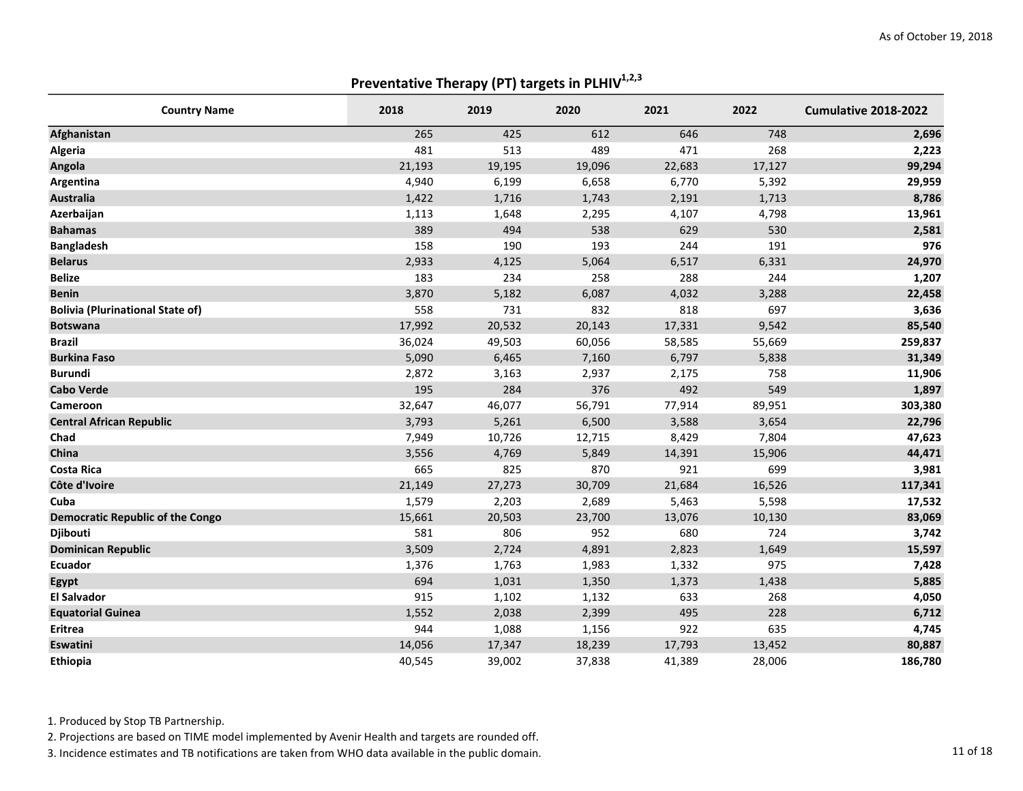## Preventative Therapy (PT) targets in PLHIV $^{1,2,3}$

| <b>Country Name</b>                     | 2018   | 2019   | 2020   | 2021   | 2022   | Cumulative 2018-2022 |
|-----------------------------------------|--------|--------|--------|--------|--------|----------------------|
| Afghanistan                             | 265    | 425    | 612    | 646    | 748    | 2,696                |
| Algeria                                 | 481    | 513    | 489    | 471    | 268    | 2,223                |
| Angola                                  | 21,193 | 19,195 | 19,096 | 22,683 | 17,127 | 99,294               |
| Argentina                               | 4,940  | 6,199  | 6,658  | 6,770  | 5,392  | 29,959               |
| <b>Australia</b>                        | 1,422  | 1,716  | 1,743  | 2,191  | 1,713  | 8,786                |
| Azerbaijan                              | 1,113  | 1,648  | 2,295  | 4,107  | 4,798  | 13,961               |
| <b>Bahamas</b>                          | 389    | 494    | 538    | 629    | 530    | 2,581                |
| <b>Bangladesh</b>                       | 158    | 190    | 193    | 244    | 191    | 976                  |
| <b>Belarus</b>                          | 2,933  | 4,125  | 5,064  | 6,517  | 6,331  | 24,970               |
| <b>Belize</b>                           | 183    | 234    | 258    | 288    | 244    | 1,207                |
| <b>Benin</b>                            | 3,870  | 5,182  | 6,087  | 4,032  | 3,288  | 22,458               |
| <b>Bolivia (Plurinational State of)</b> | 558    | 731    | 832    | 818    | 697    | 3,636                |
| <b>Botswana</b>                         | 17,992 | 20,532 | 20,143 | 17,331 | 9,542  | 85,540               |
| <b>Brazil</b>                           | 36,024 | 49,503 | 60,056 | 58,585 | 55,669 | 259,837              |
| <b>Burkina Faso</b>                     | 5,090  | 6,465  | 7,160  | 6,797  | 5,838  | 31,349               |
| <b>Burundi</b>                          | 2,872  | 3,163  | 2,937  | 2,175  | 758    | 11,906               |
| <b>Cabo Verde</b>                       | 195    | 284    | 376    | 492    | 549    | 1,897                |
| Cameroon                                | 32,647 | 46,077 | 56,791 | 77,914 | 89,951 | 303,380              |
| <b>Central African Republic</b>         | 3,793  | 5,261  | 6,500  | 3,588  | 3,654  | 22,796               |
| Chad                                    | 7,949  | 10,726 | 12,715 | 8,429  | 7,804  | 47,623               |
| China                                   | 3,556  | 4,769  | 5,849  | 14,391 | 15,906 | 44,471               |
| <b>Costa Rica</b>                       | 665    | 825    | 870    | 921    | 699    | 3,981                |
| Côte d'Ivoire                           | 21,149 | 27,273 | 30,709 | 21,684 | 16,526 | 117,341              |
| Cuba                                    | 1,579  | 2,203  | 2,689  | 5,463  | 5,598  | 17,532               |
| <b>Democratic Republic of the Congo</b> | 15,661 | 20,503 | 23,700 | 13,076 | 10,130 | 83,069               |
| Djibouti                                | 581    | 806    | 952    | 680    | 724    | 3,742                |
| <b>Dominican Republic</b>               | 3,509  | 2,724  | 4,891  | 2,823  | 1,649  | 15,597               |
| <b>Ecuador</b>                          | 1,376  | 1,763  | 1,983  | 1,332  | 975    | 7,428                |
| Egypt                                   | 694    | 1,031  | 1,350  | 1,373  | 1,438  | 5,885                |
| <b>El Salvador</b>                      | 915    | 1,102  | 1,132  | 633    | 268    | 4,050                |
| <b>Equatorial Guinea</b>                | 1,552  | 2,038  | 2,399  | 495    | 228    | 6,712                |
| Eritrea                                 | 944    | 1,088  | 1,156  | 922    | 635    | 4,745                |
| Eswatini                                | 14,056 | 17,347 | 18,239 | 17,793 | 13,452 | 80,887               |
| Ethiopia                                | 40,545 | 39,002 | 37,838 | 41,389 | 28,006 | 186,780              |

1. Produced by Stop TB Partnership.

2. Projections are based on TIME model implemented by Avenir Health and targets are rounded off.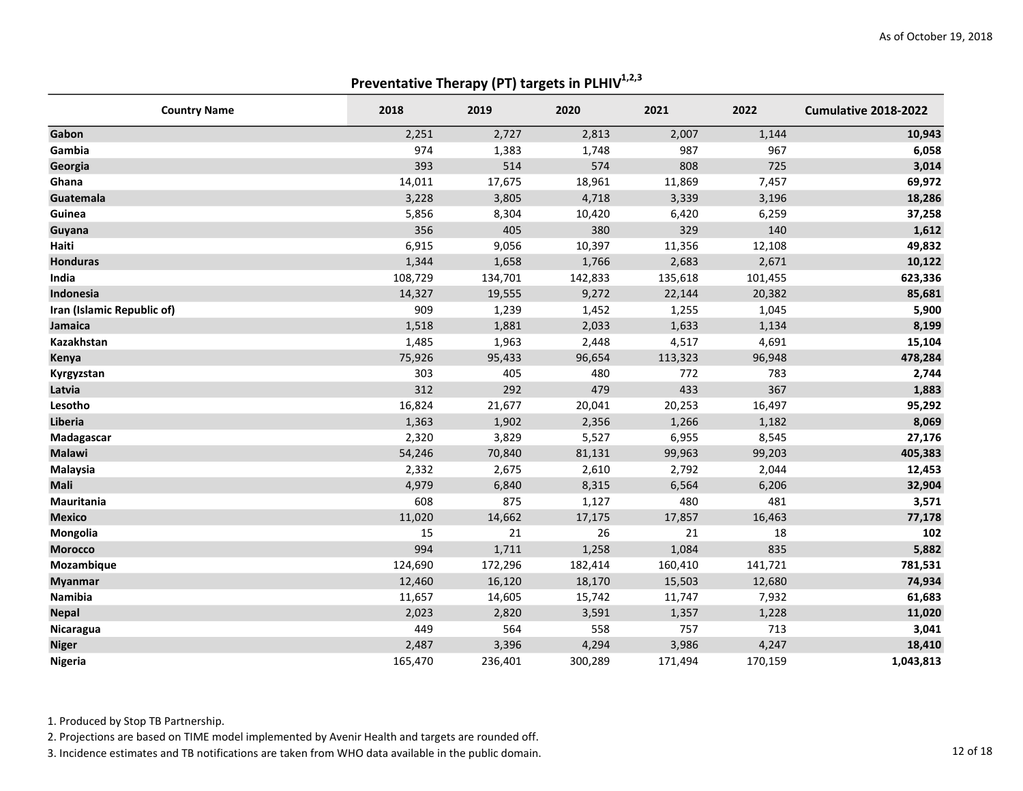### Preventative Therapy (PT) targets in PLHIV $^{1,2,3}$

| <b>Country Name</b>        | 2018    | 2019    | 2020    | 2021    | 2022    | Cumulative 2018-2022 |
|----------------------------|---------|---------|---------|---------|---------|----------------------|
| Gabon                      | 2,251   | 2,727   | 2,813   | 2,007   | 1,144   | 10,943               |
| Gambia                     | 974     | 1,383   | 1,748   | 987     | 967     | 6,058                |
| Georgia                    | 393     | 514     | 574     | 808     | 725     | 3,014                |
| Ghana                      | 14,011  | 17,675  | 18,961  | 11,869  | 7,457   | 69,972               |
| Guatemala                  | 3,228   | 3,805   | 4,718   | 3,339   | 3,196   | 18,286               |
| Guinea                     | 5,856   | 8,304   | 10,420  | 6,420   | 6,259   | 37,258               |
| Guyana                     | 356     | 405     | 380     | 329     | 140     | 1,612                |
| Haiti                      | 6,915   | 9,056   | 10,397  | 11,356  | 12,108  | 49,832               |
| <b>Honduras</b>            | 1,344   | 1,658   | 1,766   | 2,683   | 2,671   | 10,122               |
| India                      | 108,729 | 134,701 | 142,833 | 135,618 | 101,455 | 623,336              |
| Indonesia                  | 14,327  | 19,555  | 9,272   | 22,144  | 20,382  | 85,681               |
| Iran (Islamic Republic of) | 909     | 1,239   | 1,452   | 1,255   | 1,045   | 5,900                |
| Jamaica                    | 1,518   | 1,881   | 2,033   | 1,633   | 1,134   | 8,199                |
| Kazakhstan                 | 1,485   | 1,963   | 2,448   | 4,517   | 4,691   | 15,104               |
| Kenya                      | 75,926  | 95,433  | 96,654  | 113,323 | 96,948  | 478,284              |
| Kyrgyzstan                 | 303     | 405     | 480     | 772     | 783     | 2,744                |
| Latvia                     | 312     | 292     | 479     | 433     | 367     | 1,883                |
| Lesotho                    | 16,824  | 21,677  | 20,041  | 20,253  | 16,497  | 95,292               |
| Liberia                    | 1,363   | 1,902   | 2,356   | 1,266   | 1,182   | 8,069                |
| Madagascar                 | 2,320   | 3,829   | 5,527   | 6,955   | 8,545   | 27,176               |
| <b>Malawi</b>              | 54,246  | 70,840  | 81,131  | 99,963  | 99,203  | 405,383              |
| Malaysia                   | 2,332   | 2,675   | 2,610   | 2,792   | 2,044   | 12,453               |
| <b>Mali</b>                | 4,979   | 6,840   | 8,315   | 6,564   | 6,206   | 32,904               |
| Mauritania                 | 608     | 875     | 1,127   | 480     | 481     | 3,571                |
| <b>Mexico</b>              | 11,020  | 14,662  | 17,175  | 17,857  | 16,463  | 77,178               |
| Mongolia                   | 15      | 21      | 26      | 21      | 18      | 102                  |
| <b>Morocco</b>             | 994     | 1,711   | 1,258   | 1,084   | 835     | 5,882                |
| Mozambique                 | 124,690 | 172,296 | 182,414 | 160,410 | 141,721 | 781,531              |
| <b>Myanmar</b>             | 12,460  | 16,120  | 18,170  | 15,503  | 12,680  | 74,934               |
| Namibia                    | 11,657  | 14,605  | 15,742  | 11,747  | 7,932   | 61,683               |
| <b>Nepal</b>               | 2,023   | 2,820   | 3,591   | 1,357   | 1,228   | 11,020               |
| Nicaragua                  | 449     | 564     | 558     | 757     | 713     | 3,041                |
| <b>Niger</b>               | 2,487   | 3,396   | 4,294   | 3,986   | 4,247   | 18,410               |
| Nigeria                    | 165,470 | 236,401 | 300,289 | 171,494 | 170,159 | 1,043,813            |

1. Produced by Stop TB Partnership.

2. Projections are based on TIME model implemented by Avenir Health and targets are rounded off.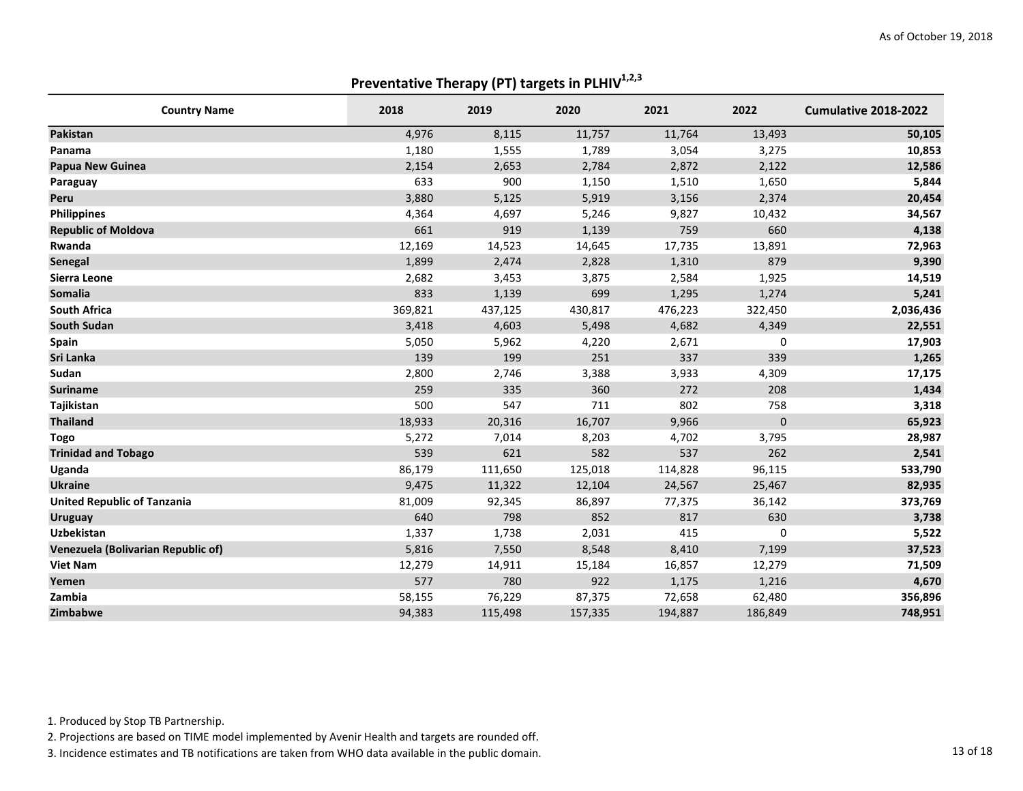### Preventative Therapy (PT) targets in PLHIV $^{1,2,3}$

| <b>Country Name</b>                | 2018    | 2019    | 2020    | 2021    | 2022      | Cumulative 2018-2022 |
|------------------------------------|---------|---------|---------|---------|-----------|----------------------|
| Pakistan                           | 4,976   | 8,115   | 11,757  | 11,764  | 13,493    | 50,105               |
| Panama                             | 1,180   | 1,555   | 1,789   | 3,054   | 3,275     | 10,853               |
| <b>Papua New Guinea</b>            | 2,154   | 2,653   | 2,784   | 2,872   | 2,122     | 12,586               |
| Paraguay                           | 633     | 900     | 1,150   | 1,510   | 1,650     | 5,844                |
| Peru                               | 3,880   | 5,125   | 5,919   | 3,156   | 2,374     | 20,454               |
| <b>Philippines</b>                 | 4,364   | 4,697   | 5,246   | 9,827   | 10,432    | 34,567               |
| <b>Republic of Moldova</b>         | 661     | 919     | 1,139   | 759     | 660       | 4,138                |
| Rwanda                             | 12,169  | 14,523  | 14,645  | 17,735  | 13,891    | 72,963               |
| Senegal                            | 1,899   | 2,474   | 2,828   | 1,310   | 879       | 9,390                |
| Sierra Leone                       | 2,682   | 3,453   | 3,875   | 2,584   | 1,925     | 14,519               |
| Somalia                            | 833     | 1,139   | 699     | 1,295   | 1,274     | 5,241                |
| <b>South Africa</b>                | 369,821 | 437,125 | 430,817 | 476,223 | 322,450   | 2,036,436            |
| <b>South Sudan</b>                 | 3,418   | 4,603   | 5,498   | 4,682   | 4,349     | 22,551               |
| Spain                              | 5,050   | 5,962   | 4,220   | 2,671   | 0         | 17,903               |
| Sri Lanka                          | 139     | 199     | 251     | 337     | 339       | 1,265                |
| Sudan                              | 2,800   | 2,746   | 3,388   | 3,933   | 4,309     | 17,175               |
| <b>Suriname</b>                    | 259     | 335     | 360     | 272     | 208       | 1,434                |
| Tajikistan                         | 500     | 547     | 711     | 802     | 758       | 3,318                |
| <b>Thailand</b>                    | 18,933  | 20,316  | 16,707  | 9,966   | $\pmb{0}$ | 65,923               |
| <b>Togo</b>                        | 5,272   | 7,014   | 8,203   | 4,702   | 3,795     | 28,987               |
| <b>Trinidad and Tobago</b>         | 539     | 621     | 582     | 537     | 262       | 2,541                |
| Uganda                             | 86,179  | 111,650 | 125,018 | 114,828 | 96,115    | 533,790              |
| <b>Ukraine</b>                     | 9,475   | 11,322  | 12,104  | 24,567  | 25,467    | 82,935               |
| <b>United Republic of Tanzania</b> | 81,009  | 92,345  | 86,897  | 77,375  | 36,142    | 373,769              |
| <b>Uruguay</b>                     | 640     | 798     | 852     | 817     | 630       | 3,738                |
| <b>Uzbekistan</b>                  | 1,337   | 1,738   | 2,031   | 415     | 0         | 5,522                |
| Venezuela (Bolivarian Republic of) | 5,816   | 7,550   | 8,548   | 8,410   | 7,199     | 37,523               |
| <b>Viet Nam</b>                    | 12,279  | 14,911  | 15,184  | 16,857  | 12,279    | 71,509               |
| Yemen                              | 577     | 780     | 922     | 1,175   | 1,216     | 4,670                |
| Zambia                             | 58,155  | 76,229  | 87,375  | 72,658  | 62,480    | 356,896              |
| Zimbabwe                           | 94,383  | 115,498 | 157,335 | 194,887 | 186,849   | 748,951              |

1. Produced by Stop TB Partnership.

2. Projections are based on TIME model implemented by Avenir Health and targets are rounded off.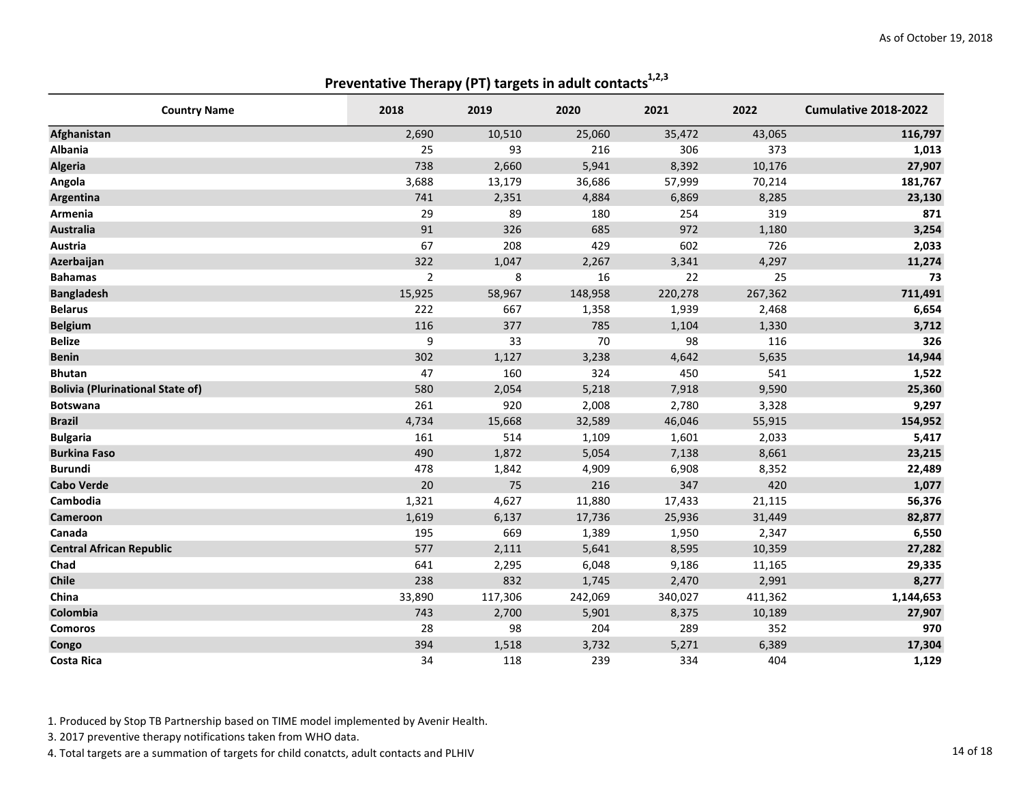| <b>Country Name</b>                     | 2018           | 2019    | 2020    | 2021    | 2022    | Cumulative 2018-2022 |
|-----------------------------------------|----------------|---------|---------|---------|---------|----------------------|
| Afghanistan                             | 2,690          | 10,510  | 25,060  | 35,472  | 43,065  | 116,797              |
| <b>Albania</b>                          | 25             | 93      | 216     | 306     | 373     | 1,013                |
| <b>Algeria</b>                          | 738            | 2,660   | 5,941   | 8,392   | 10,176  | 27,907               |
| Angola                                  | 3,688          | 13,179  | 36,686  | 57,999  | 70,214  | 181,767              |
| Argentina                               | 741            | 2,351   | 4,884   | 6,869   | 8,285   | 23,130               |
| Armenia                                 | 29             | 89      | 180     | 254     | 319     | 871                  |
| <b>Australia</b>                        | 91             | 326     | 685     | 972     | 1,180   | 3,254                |
| Austria                                 | 67             | 208     | 429     | 602     | 726     | 2,033                |
| Azerbaijan                              | 322            | 1,047   | 2,267   | 3,341   | 4,297   | 11,274               |
| <b>Bahamas</b>                          | $\overline{2}$ | 8       | 16      | 22      | 25      | 73                   |
| <b>Bangladesh</b>                       | 15,925         | 58,967  | 148,958 | 220,278 | 267,362 | 711,491              |
| <b>Belarus</b>                          | 222            | 667     | 1,358   | 1,939   | 2,468   | 6,654                |
| <b>Belgium</b>                          | 116            | 377     | 785     | 1,104   | 1,330   | 3,712                |
| <b>Belize</b>                           | 9              | 33      | 70      | 98      | 116     | 326                  |
| <b>Benin</b>                            | 302            | 1,127   | 3,238   | 4,642   | 5,635   | 14,944               |
| <b>Bhutan</b>                           | 47             | 160     | 324     | 450     | 541     | 1,522                |
| <b>Bolivia (Plurinational State of)</b> | 580            | 2,054   | 5,218   | 7,918   | 9,590   | 25,360               |
| <b>Botswana</b>                         | 261            | 920     | 2,008   | 2,780   | 3,328   | 9,297                |
| <b>Brazil</b>                           | 4,734          | 15,668  | 32,589  | 46,046  | 55,915  | 154,952              |
| <b>Bulgaria</b>                         | 161            | 514     | 1,109   | 1,601   | 2,033   | 5,417                |
| <b>Burkina Faso</b>                     | 490            | 1,872   | 5,054   | 7,138   | 8,661   | 23,215               |
| <b>Burundi</b>                          | 478            | 1,842   | 4,909   | 6,908   | 8,352   | 22,489               |
| <b>Cabo Verde</b>                       | 20             | 75      | 216     | 347     | 420     | 1,077                |
| Cambodia                                | 1,321          | 4,627   | 11,880  | 17,433  | 21,115  | 56,376               |
| Cameroon                                | 1,619          | 6,137   | 17,736  | 25,936  | 31,449  | 82,877               |
| Canada                                  | 195            | 669     | 1,389   | 1,950   | 2,347   | 6,550                |
| <b>Central African Republic</b>         | 577            | 2,111   | 5,641   | 8,595   | 10,359  | 27,282               |
| Chad                                    | 641            | 2,295   | 6,048   | 9,186   | 11,165  | 29,335               |
| Chile                                   | 238            | 832     | 1,745   | 2,470   | 2,991   | 8,277                |
| China                                   | 33,890         | 117,306 | 242,069 | 340,027 | 411,362 | 1,144,653            |
| Colombia                                | 743            | 2,700   | 5,901   | 8,375   | 10,189  | 27,907               |
| <b>Comoros</b>                          | 28             | 98      | 204     | 289     | 352     | 970                  |
| Congo                                   | 394            | 1,518   | 3,732   | 5,271   | 6,389   | 17,304               |
| Costa Rica                              | 34             | 118     | 239     | 334     | 404     | 1,129                |

Preventative Therapy (PT) targets in adult contacts $1,2,3$ 

1. Produced by Stop TB Partnership based on TIME model implemented by Avenir Health.

3. 2017 preventive therapy notifications taken from WHO data.

4. Total targets are a summation of targets for child conatcts, adult contacts and PLHIV 14 of 18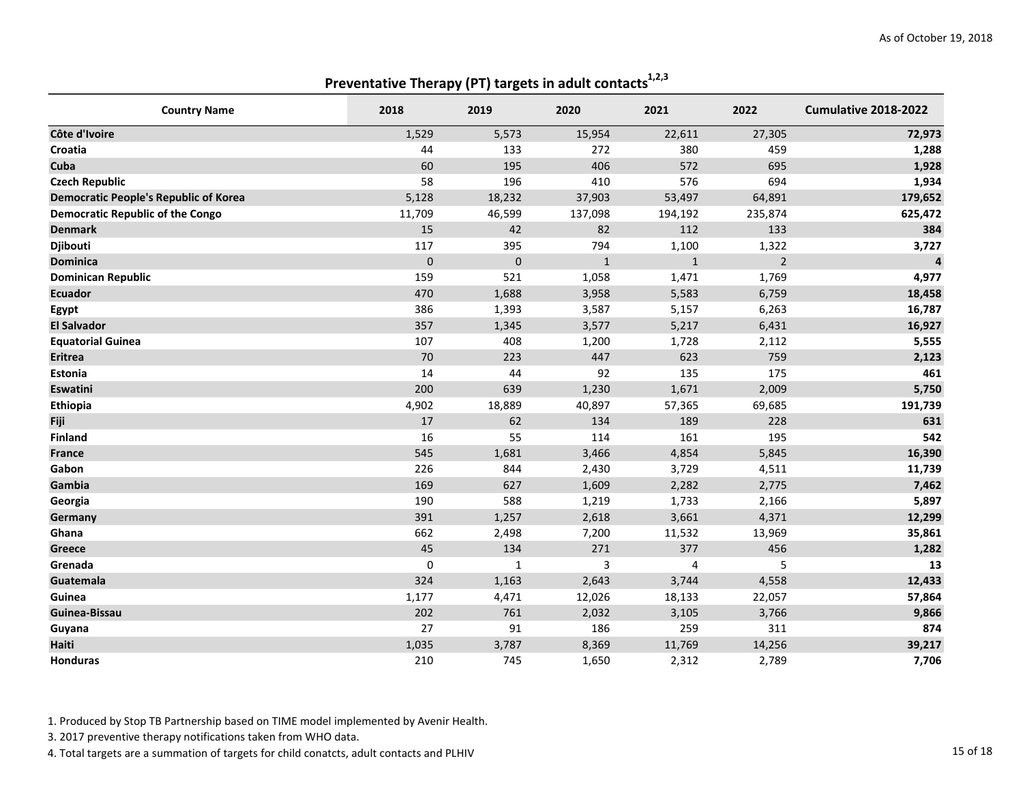Preventative Therapy (PT) targets in adult contacts $1,2,3$ 

| <b>Country Name</b>                          | 2018      | 2019         | 2020         | 2021         | 2022           | Cumulative 2018-2022 |
|----------------------------------------------|-----------|--------------|--------------|--------------|----------------|----------------------|
| Côte d'Ivoire                                | 1,529     | 5,573        | 15,954       | 22,611       | 27,305         | 72,973               |
| Croatia                                      | 44        | 133          | 272          | 380          | 459            | 1,288                |
| Cuba                                         | 60        | 195          | 406          | 572          | 695            | 1,928                |
| <b>Czech Republic</b>                        | 58        | 196          | 410          | 576          | 694            | 1,934                |
| <b>Democratic People's Republic of Korea</b> | 5,128     | 18,232       | 37,903       | 53,497       | 64,891         | 179,652              |
| <b>Democratic Republic of the Congo</b>      | 11,709    | 46,599       | 137,098      | 194,192      | 235,874        | 625,472              |
| <b>Denmark</b>                               | 15        | 42           | 82           | 112          | 133            | 384                  |
| Djibouti                                     | 117       | 395          | 794          | 1,100        | 1,322          | 3,727                |
| <b>Dominica</b>                              | $\pmb{0}$ | $\pmb{0}$    | $\mathbf{1}$ | $\mathbf{1}$ | $\overline{2}$ | $\overline{4}$       |
| <b>Dominican Republic</b>                    | 159       | 521          | 1,058        | 1,471        | 1,769          | 4,977                |
| <b>Ecuador</b>                               | 470       | 1,688        | 3,958        | 5,583        | 6,759          | 18,458               |
| Egypt                                        | 386       | 1,393        | 3,587        | 5,157        | 6,263          | 16,787               |
| <b>El Salvador</b>                           | 357       | 1,345        | 3,577        | 5,217        | 6,431          | 16,927               |
| <b>Equatorial Guinea</b>                     | 107       | 408          | 1,200        | 1,728        | 2,112          | 5,555                |
| <b>Eritrea</b>                               | $70\,$    | 223          | 447          | 623          | 759            | 2,123                |
| Estonia                                      | 14        | 44           | 92           | 135          | 175            | 461                  |
| <b>Eswatini</b>                              | 200       | 639          | 1,230        | 1,671        | 2,009          | 5,750                |
| Ethiopia                                     | 4,902     | 18,889       | 40,897       | 57,365       | 69,685         | 191,739              |
| Fiji                                         | 17        | 62           | 134          | 189          | 228            | 631                  |
| <b>Finland</b>                               | 16        | 55           | 114          | 161          | 195            | 542                  |
| <b>France</b>                                | 545       | 1,681        | 3,466        | 4,854        | 5,845          | 16,390               |
| Gabon                                        | 226       | 844          | 2,430        | 3,729        | 4,511          | 11,739               |
| Gambia                                       | 169       | 627          | 1,609        | 2,282        | 2,775          | 7,462                |
| Georgia                                      | 190       | 588          | 1,219        | 1,733        | 2,166          | 5,897                |
| Germany                                      | 391       | 1,257        | 2,618        | 3,661        | 4,371          | 12,299               |
| Ghana                                        | 662       | 2,498        | 7,200        | 11,532       | 13,969         | 35,861               |
| Greece                                       | 45        | 134          | 271          | 377          | 456            | 1,282                |
| Grenada                                      | 0         | $\mathbf{1}$ | 3            | 4            | 5              | 13                   |
| Guatemala                                    | 324       | 1,163        | 2,643        | 3,744        | 4,558          | 12,433               |
| Guinea                                       | 1,177     | 4,471        | 12,026       | 18,133       | 22,057         | 57,864               |
| Guinea-Bissau                                | 202       | 761          | 2,032        | 3,105        | 3,766          | 9,866                |
| Guyana                                       | 27        | 91           | 186          | 259          | 311            | 874                  |
| <b>Haiti</b>                                 | 1,035     | 3,787        | 8,369        | 11,769       | 14,256         | 39,217               |
| <b>Honduras</b>                              | 210       | 745          | 1,650        | 2,312        | 2,789          | 7,706                |

1. Produced by Stop TB Partnership based on TIME model implemented by Avenir Health.

3. 2017 preventive therapy notifications taken from WHO data.

4. Total targets are a summation of targets for child conatcts, adult contacts and PLHIV 15 of 18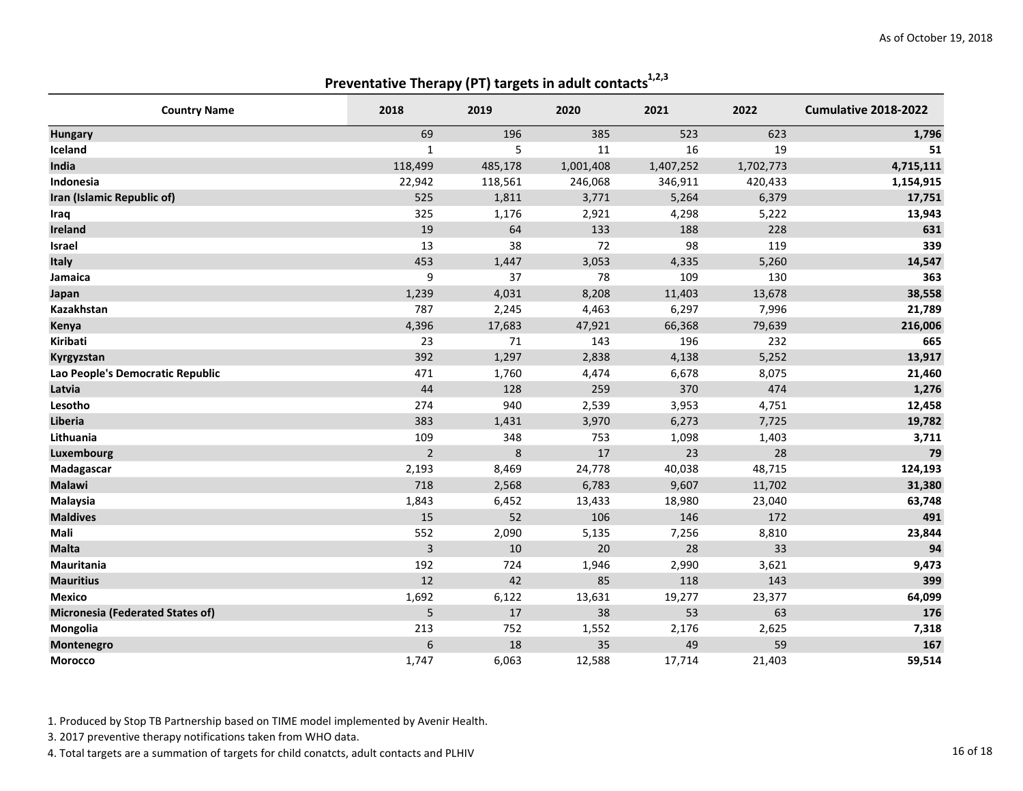## Preventative Therapy (PT) targets in adult contacts $1,2,3$

| <b>Country Name</b>                     | 2018             | 2019    | 2020      | 2021      | 2022      | Cumulative 2018-2022 |
|-----------------------------------------|------------------|---------|-----------|-----------|-----------|----------------------|
| <b>Hungary</b>                          | 69               | 196     | 385       | 523       | 623       | 1,796                |
| Iceland                                 | $\mathbf{1}$     | 5       | 11        | 16        | 19        | 51                   |
| India                                   | 118,499          | 485,178 | 1,001,408 | 1,407,252 | 1,702,773 | 4,715,111            |
| Indonesia                               | 22,942           | 118,561 | 246,068   | 346,911   | 420,433   | 1,154,915            |
| Iran (Islamic Republic of)              | 525              | 1,811   | 3,771     | 5,264     | 6,379     | 17,751               |
| Iraq                                    | 325              | 1,176   | 2,921     | 4,298     | 5,222     | 13,943               |
| Ireland                                 | 19               | 64      | 133       | 188       | 228       | 631                  |
| Israel                                  | 13               | 38      | 72        | 98        | 119       | 339                  |
| Italy                                   | 453              | 1,447   | 3,053     | 4,335     | 5,260     | 14,547               |
| Jamaica                                 | 9                | 37      | 78        | 109       | 130       | 363                  |
| Japan                                   | 1,239            | 4,031   | 8,208     | 11,403    | 13,678    | 38,558               |
| Kazakhstan                              | 787              | 2,245   | 4,463     | 6,297     | 7,996     | 21,789               |
| Kenya                                   | 4,396            | 17,683  | 47,921    | 66,368    | 79,639    | 216,006              |
| Kiribati                                | 23               | 71      | 143       | 196       | 232       | 665                  |
| Kyrgyzstan                              | 392              | 1,297   | 2,838     | 4,138     | 5,252     | 13,917               |
| Lao People's Democratic Republic        | 471              | 1,760   | 4,474     | 6,678     | 8,075     | 21,460               |
| Latvia                                  | 44               | 128     | 259       | 370       | 474       | 1,276                |
| Lesotho                                 | 274              | 940     | 2,539     | 3,953     | 4,751     | 12,458               |
| <b>Liberia</b>                          | 383              | 1,431   | 3,970     | 6,273     | 7,725     | 19,782               |
| Lithuania                               | 109              | 348     | 753       | 1,098     | 1,403     | 3,711                |
| Luxembourg                              | $\overline{2}$   | 8       | 17        | 23        | 28        | 79                   |
| Madagascar                              | 2,193            | 8,469   | 24,778    | 40,038    | 48,715    | 124,193              |
| <b>Malawi</b>                           | 718              | 2,568   | 6,783     | 9,607     | 11,702    | 31,380               |
| Malaysia                                | 1,843            | 6,452   | 13,433    | 18,980    | 23,040    | 63,748               |
| <b>Maldives</b>                         | 15               | 52      | 106       | 146       | 172       | 491                  |
| Mali                                    | 552              | 2,090   | 5,135     | 7,256     | 8,810     | 23,844               |
| <b>Malta</b>                            | $\overline{3}$   | 10      | 20        | 28        | 33        | 94                   |
| Mauritania                              | 192              | 724     | 1,946     | 2,990     | 3,621     | 9,473                |
| <b>Mauritius</b>                        | 12               | 42      | 85        | 118       | 143       | 399                  |
| <b>Mexico</b>                           | 1,692            | 6,122   | 13,631    | 19,277    | 23,377    | 64,099               |
| <b>Micronesia (Federated States of)</b> | 5                | 17      | 38        | 53        | 63        | 176                  |
| Mongolia                                | 213              | 752     | 1,552     | 2,176     | 2,625     | 7,318                |
| Montenegro                              | $\boldsymbol{6}$ | 18      | 35        | 49        | 59        | 167                  |
| <b>Morocco</b>                          | 1,747            | 6,063   | 12,588    | 17,714    | 21,403    | 59,514               |

1. Produced by Stop TB Partnership based on TIME model implemented by Avenir Health.

3. 2017 preventive therapy notifications taken from WHO data.

4. Total targets are a summation of targets for child conatcts, adult contacts and PLHIV 16 of 18 and 2008 16 of 18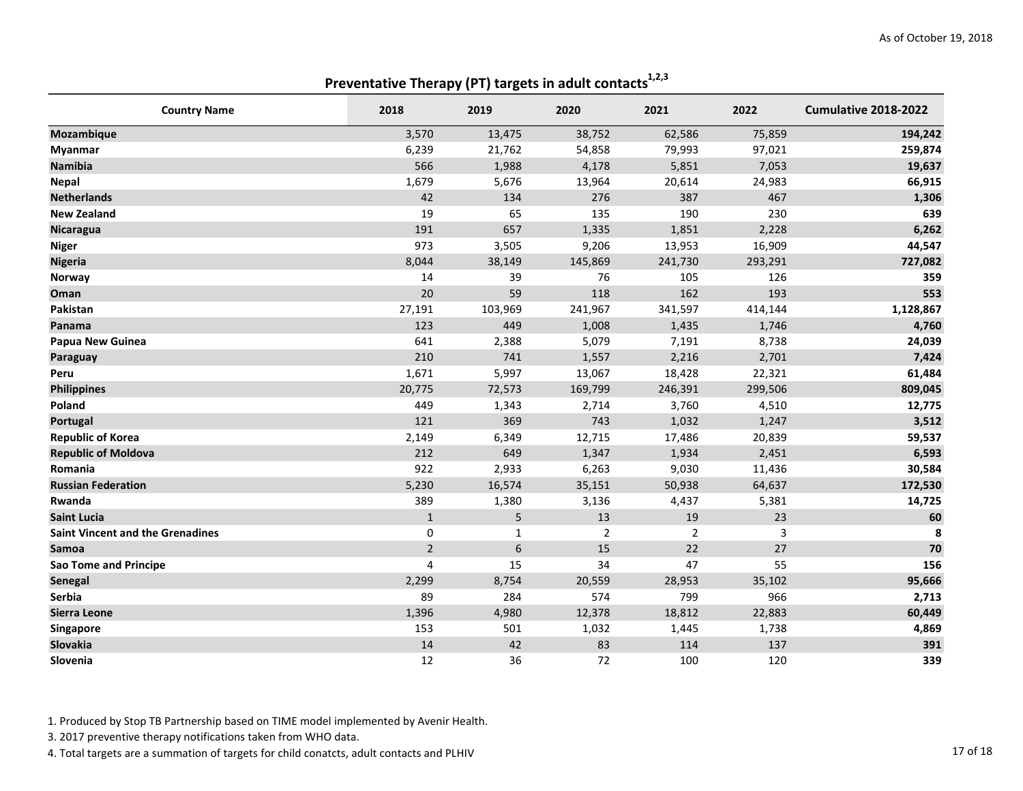|                                         | Preventative merupy (Pr) targets in additionally |                  |         |                |         |                      |
|-----------------------------------------|--------------------------------------------------|------------------|---------|----------------|---------|----------------------|
| <b>Country Name</b>                     | 2018                                             | 2019             | 2020    | 2021           | 2022    | Cumulative 2018-2022 |
| Mozambique                              | 3,570                                            | 13,475           | 38,752  | 62,586         | 75,859  | 194,242              |
| <b>Myanmar</b>                          | 6,239                                            | 21,762           | 54,858  | 79,993         | 97,021  | 259,874              |
| Namibia                                 | 566                                              | 1,988            | 4,178   | 5,851          | 7,053   | 19,637               |
| <b>Nepal</b>                            | 1,679                                            | 5,676            | 13,964  | 20,614         | 24,983  | 66,915               |
| <b>Netherlands</b>                      | 42                                               | 134              | 276     | 387            | 467     | 1,306                |
| <b>New Zealand</b>                      | 19                                               | 65               | 135     | 190            | 230     | 639                  |
| <b>Nicaragua</b>                        | 191                                              | 657              | 1,335   | 1,851          | 2,228   | 6,262                |
| <b>Niger</b>                            | 973                                              | 3,505            | 9,206   | 13,953         | 16,909  | 44,547               |
| <b>Nigeria</b>                          | 8,044                                            | 38,149           | 145,869 | 241,730        | 293,291 | 727,082              |
| Norway                                  | 14                                               | 39               | 76      | 105            | 126     | 359                  |
| Oman                                    | 20                                               | 59               | 118     | 162            | 193     | 553                  |
| Pakistan                                | 27,191                                           | 103,969          | 241,967 | 341,597        | 414,144 | 1,128,867            |
| Panama                                  | 123                                              | 449              | 1,008   | 1,435          | 1,746   | 4,760                |
| Papua New Guinea                        | 641                                              | 2,388            | 5,079   | 7,191          | 8,738   | 24,039               |
| Paraguay                                | 210                                              | 741              | 1,557   | 2,216          | 2,701   | 7,424                |
| Peru                                    | 1,671                                            | 5,997            | 13,067  | 18,428         | 22,321  | 61,484               |
| <b>Philippines</b>                      | 20,775                                           | 72,573           | 169,799 | 246,391        | 299,506 | 809,045              |
| Poland                                  | 449                                              | 1,343            | 2,714   | 3,760          | 4,510   | 12,775               |
| Portugal                                | 121                                              | 369              | 743     | 1,032          | 1,247   | 3,512                |
| <b>Republic of Korea</b>                | 2,149                                            | 6,349            | 12,715  | 17,486         | 20,839  | 59,537               |
| <b>Republic of Moldova</b>              | 212                                              | 649              | 1,347   | 1,934          | 2,451   | 6,593                |
| Romania                                 | 922                                              | 2,933            | 6,263   | 9,030          | 11,436  | 30,584               |
| <b>Russian Federation</b>               | 5,230                                            | 16,574           | 35,151  | 50,938         | 64,637  | 172,530              |
| Rwanda                                  | 389                                              | 1,380            | 3,136   | 4,437          | 5,381   | 14,725               |
| <b>Saint Lucia</b>                      | $\mathbf{1}$                                     | 5                | 13      | 19             | 23      | 60                   |
| <b>Saint Vincent and the Grenadines</b> | 0                                                | 1                | 2       | $\overline{2}$ | 3       | 8                    |
| Samoa                                   | $\overline{2}$                                   | $\boldsymbol{6}$ | 15      | 22             | 27      | 70                   |
| <b>Sao Tome and Principe</b>            | 4                                                | 15               | 34      | 47             | 55      | 156                  |
| Senegal                                 | 2,299                                            | 8,754            | 20,559  | 28,953         | 35,102  | 95,666               |
| Serbia                                  | 89                                               | 284              | 574     | 799            | 966     | 2,713                |
| Sierra Leone                            | 1,396                                            | 4,980            | 12,378  | 18,812         | 22,883  | 60,449               |
| Singapore                               | 153                                              | 501              | 1,032   | 1,445          | 1,738   | 4,869                |
| Slovakia                                | 14                                               | 42               | 83      | 114            | 137     | 391                  |
| Slovenia                                | 12                                               | 36               | 72      | 100            | 120     | 339                  |

Preventative Therapy (PT) targets in adult contacts<sup>1,2,3</sup>

1. Produced by Stop TB Partnership based on TIME model implemented by Avenir Health.

3. 2017 preventive therapy notifications taken from WHO data.

4. Total targets are a summation of targets for child conatcts, adult contacts and PLHIV 17 of 18